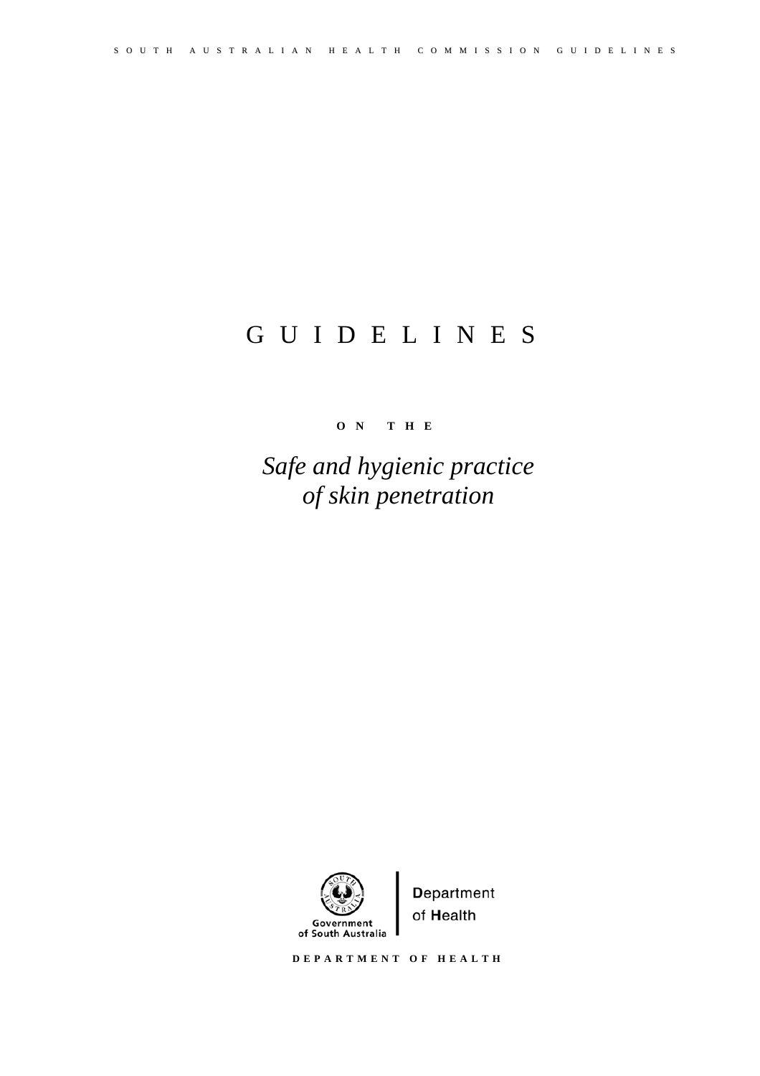# GUIDELINES

**ON THE** 

*Safe and hygienic practice of skin penetration* 



**Department** of Health

**DEPARTMENT OF HEALTH**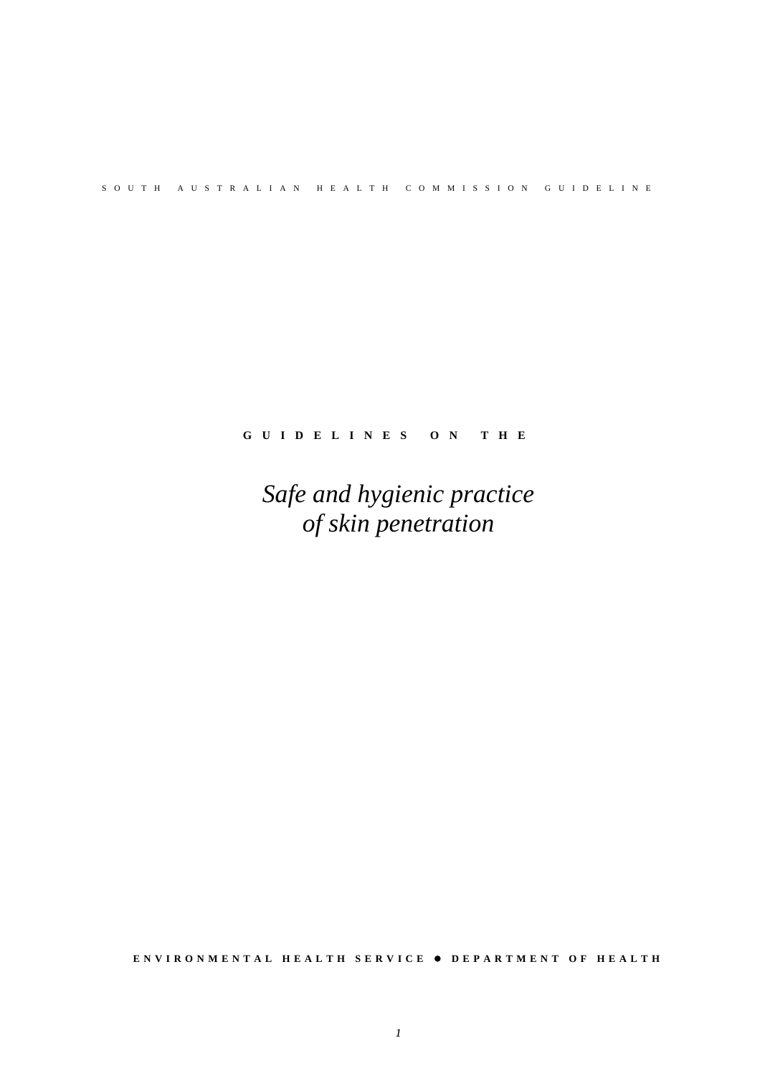#### SOUTH AUSTRALIAN HEALTH COMMISSION GUIDELINE

# **GUIDELINES ON THE**

*Safe and hygienic practice of skin penetration* 

**ENVIRONMENTAL HEALTH SERVICE** z **DEPARTMENT OF HEALTH**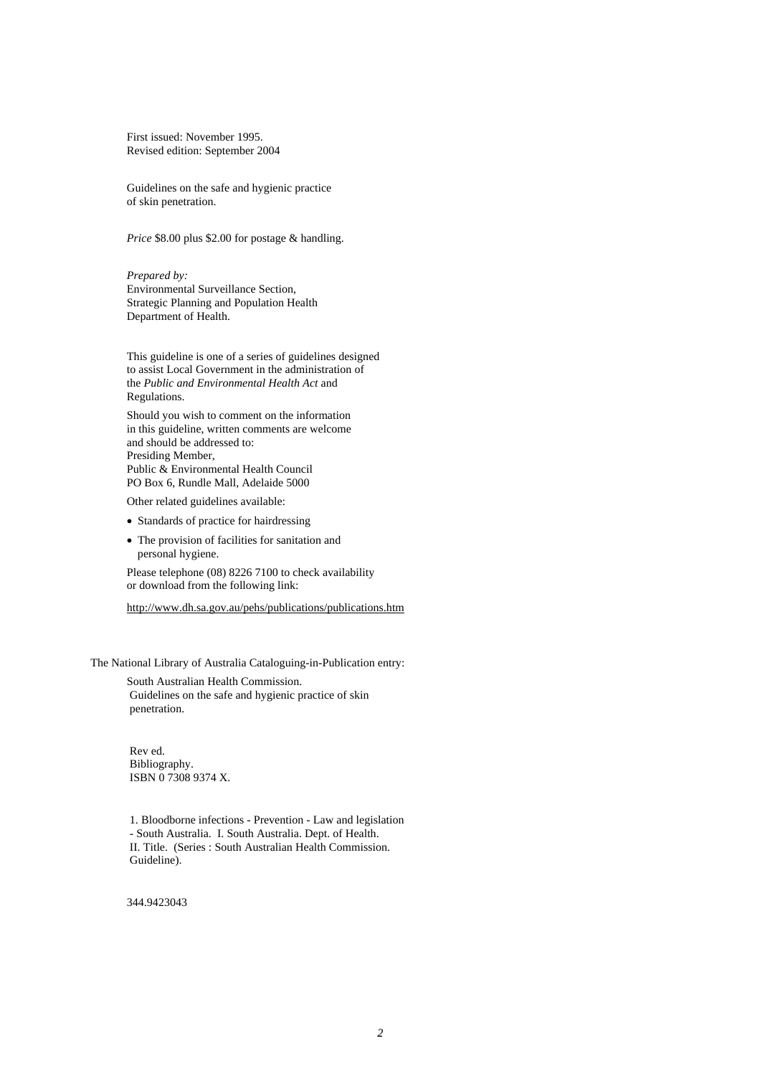First issued: November 1995. Revised edition: September 2004

Guidelines on the safe and hygienic practice of skin penetration.

*Price* \$8.00 plus \$2.00 for postage & handling.

*Prepared by:* Environmental Surveillance Section, Strategic Planning and Population Health Department of Health.

This guideline is one of a series of guidelines designed to assist Local Government in the administration of the *Public and Environmental Health Act* and Regulations.

Should you wish to comment on the information in this guideline, written comments are welcome and should be addressed to: Presiding Member, Public & Environmental Health Council PO Box 6, Rundle Mall, Adelaide 5000

Other related guidelines available:

- Standards of practice for hairdressing
- The provision of facilities for sanitation and personal hygiene.

Please telephone (08) 8226 7100 to check availability or download from the following link:

<http://www.dh.sa.gov.au/pehs/publications/publications.htm>

The National Library of Australia Cataloguing-in-Publication entry:

South Australian Health Commission. Guidelines on the safe and hygienic practice of skin penetration.

 Rev ed. Bibliography. ISBN 0 7308 9374 X.

 1. Bloodborne infections - Prevention - Law and legislation - South Australia. I. South Australia. Dept. of Health. II. Title. (Series : South Australian Health Commission. Guideline).

344.9423043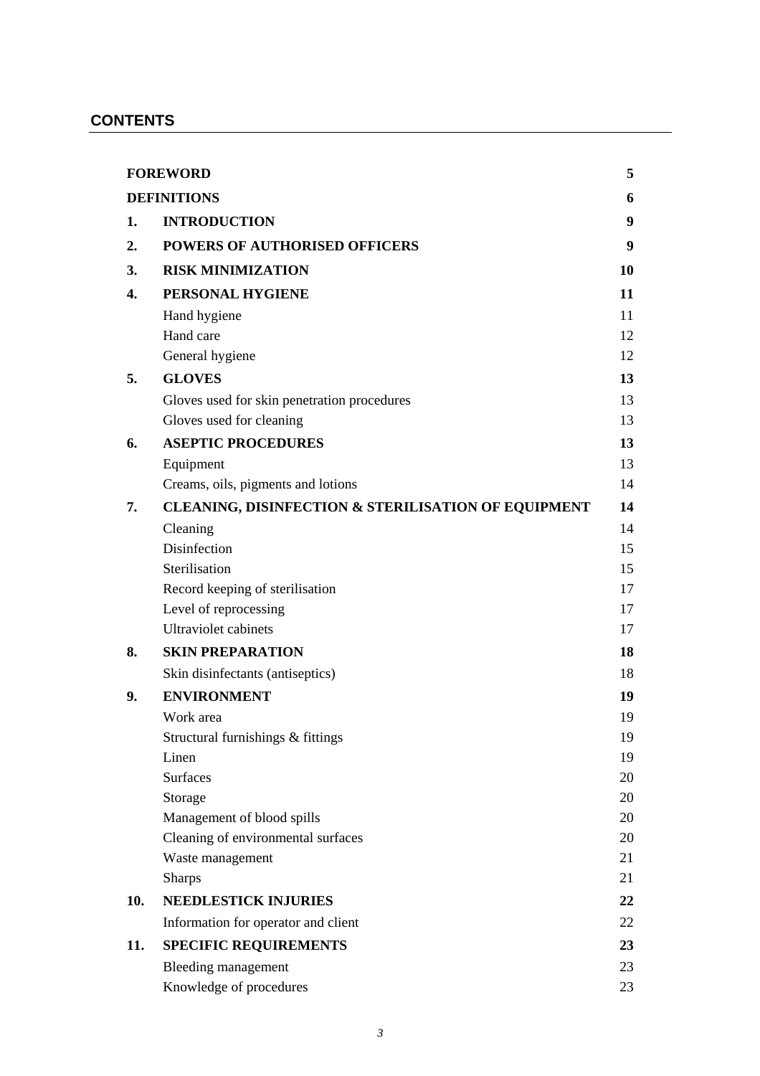# **CONTENTS**

|                  | <b>FOREWORD</b>                                                | 5         |
|------------------|----------------------------------------------------------------|-----------|
|                  | <b>DEFINITIONS</b>                                             | 6         |
| 1.               | <b>INTRODUCTION</b>                                            | 9         |
| $\overline{2}$ . | POWERS OF AUTHORISED OFFICERS                                  | 9         |
| 3.               | <b>RISK MINIMIZATION</b>                                       | <b>10</b> |
| 4.               | PERSONAL HYGIENE                                               | 11        |
|                  | Hand hygiene                                                   | 11        |
|                  | Hand care                                                      | 12        |
|                  | General hygiene                                                | 12        |
| 5.               | <b>GLOVES</b>                                                  | 13        |
|                  | Gloves used for skin penetration procedures                    | 13        |
|                  | Gloves used for cleaning                                       | 13        |
| 6.               | <b>ASEPTIC PROCEDURES</b>                                      | 13        |
|                  | Equipment                                                      | 13        |
|                  | Creams, oils, pigments and lotions                             | 14        |
| 7.               | <b>CLEANING, DISINFECTION &amp; STERILISATION OF EQUIPMENT</b> | 14        |
|                  | Cleaning                                                       | 14        |
|                  | Disinfection                                                   | 15        |
|                  | Sterilisation                                                  | 15        |
|                  | Record keeping of sterilisation                                | 17        |
|                  | Level of reprocessing                                          | 17        |
|                  | <b>Ultraviolet cabinets</b>                                    | 17        |
| 8.               | <b>SKIN PREPARATION</b>                                        | 18        |
|                  | Skin disinfectants (antiseptics)                               | 18        |
| 9.               | <b>ENVIRONMENT</b>                                             | 19        |
|                  | Work area                                                      | 19        |
|                  | Structural furnishings & fittings                              | 19        |
|                  | Linen                                                          | 19        |
|                  | <b>Surfaces</b>                                                | 20        |
|                  | Storage                                                        | 20        |
|                  | Management of blood spills                                     | 20        |
|                  | Cleaning of environmental surfaces                             | 20        |
|                  | Waste management                                               | 21        |
|                  | <b>Sharps</b>                                                  | 21        |
| 10.              | <b>NEEDLESTICK INJURIES</b>                                    | 22        |
|                  | Information for operator and client                            | 22        |
| 11.              | <b>SPECIFIC REQUIREMENTS</b>                                   | 23        |
|                  | Bleeding management                                            | 23        |
|                  | Knowledge of procedures                                        | 23        |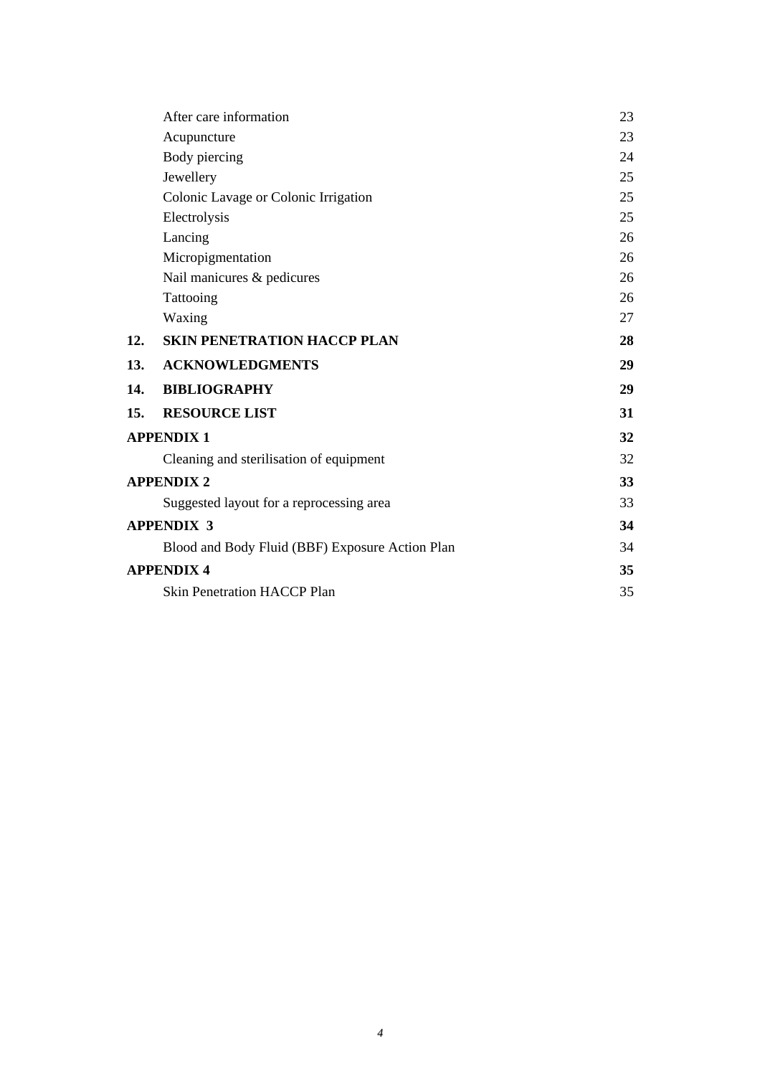|     | After care information                          | 23 |
|-----|-------------------------------------------------|----|
|     | Acupuncture                                     | 23 |
|     | Body piercing                                   | 24 |
|     | Jewellery                                       | 25 |
|     | Colonic Lavage or Colonic Irrigation            | 25 |
|     | Electrolysis                                    | 25 |
|     | Lancing                                         | 26 |
|     | Micropigmentation                               | 26 |
|     | Nail manicures & pedicures                      | 26 |
|     | Tattooing                                       | 26 |
|     | Waxing                                          | 27 |
| 12. | <b>SKIN PENETRATION HACCP PLAN</b>              | 28 |
| 13. | <b>ACKNOWLEDGMENTS</b>                          | 29 |
| 14. | <b>BIBLIOGRAPHY</b>                             | 29 |
| 15. | <b>RESOURCE LIST</b>                            | 31 |
|     | <b>APPENDIX 1</b>                               | 32 |
|     | Cleaning and sterilisation of equipment         | 32 |
|     | <b>APPENDIX 2</b>                               | 33 |
|     | Suggested layout for a reprocessing area        | 33 |
|     | <b>APPENDIX 3</b>                               | 34 |
|     | Blood and Body Fluid (BBF) Exposure Action Plan | 34 |
|     | <b>APPENDIX 4</b>                               | 35 |
|     | <b>Skin Penetration HACCP Plan</b>              | 35 |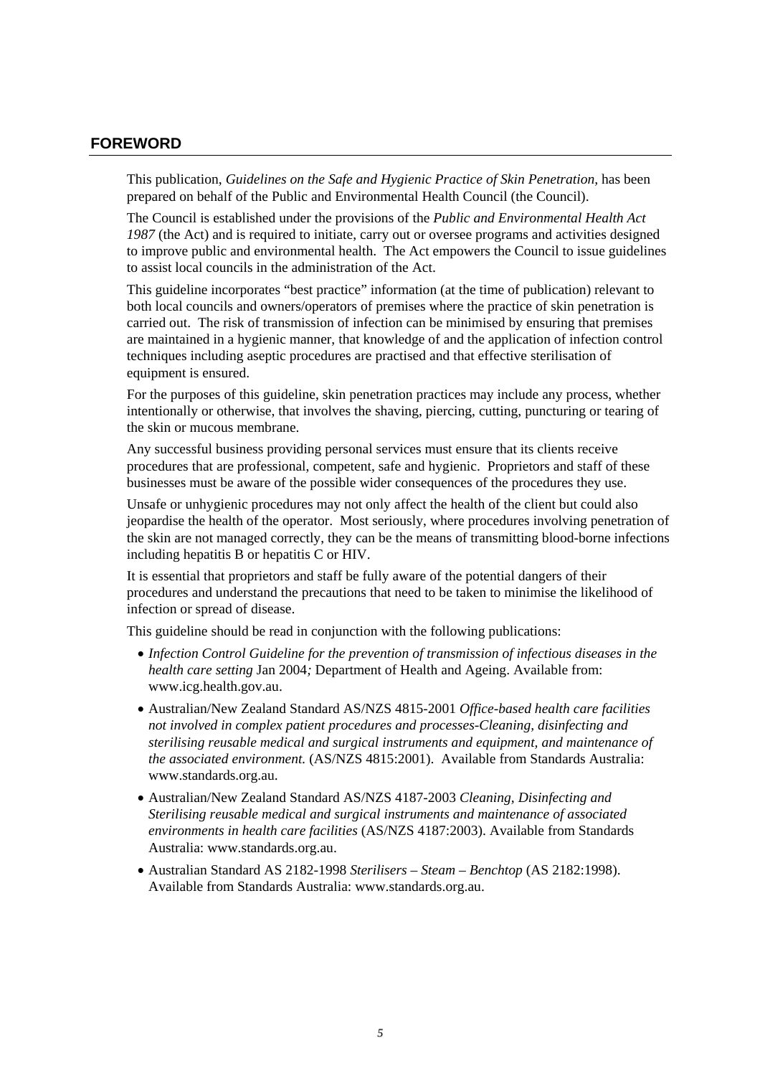## <span id="page-6-0"></span>**FOREWORD**

This publication, *Guidelines on the Safe and Hygienic Practice of Skin Penetration,* has been prepared on behalf of the Public and Environmental Health Council (the Council).

The Council is established under the provisions of the *Public and Environmental Health Act 1987* (the Act) and is required to initiate, carry out or oversee programs and activities designed to improve public and environmental health. The Act empowers the Council to issue guidelines to assist local councils in the administration of the Act.

This guideline incorporates "best practice" information (at the time of publication) relevant to both local councils and owners/operators of premises where the practice of skin penetration is carried out. The risk of transmission of infection can be minimised by ensuring that premises are maintained in a hygienic manner, that knowledge of and the application of infection control techniques including aseptic procedures are practised and that effective sterilisation of equipment is ensured.

For the purposes of this guideline, skin penetration practices may include any process, whether intentionally or otherwise, that involves the shaving, piercing, cutting, puncturing or tearing of the skin or mucous membrane.

Any successful business providing personal services must ensure that its clients receive procedures that are professional, competent, safe and hygienic. Proprietors and staff of these businesses must be aware of the possible wider consequences of the procedures they use.

Unsafe or unhygienic procedures may not only affect the health of the client but could also jeopardise the health of the operator. Most seriously, where procedures involving penetration of the skin are not managed correctly, they can be the means of transmitting blood-borne infections including hepatitis B or hepatitis C or HIV.

It is essential that proprietors and staff be fully aware of the potential dangers of their procedures and understand the precautions that need to be taken to minimise the likelihood of infection or spread of disease.

This guideline should be read in conjunction with the following publications:

- *Infection Control Guideline for the prevention of transmission of infectious diseases in the health care setting* Jan 2004*;* Department of Health and Ageing. Available from: www.icg.health.gov.au.
- Australian/New Zealand Standard AS/NZS 4815-2001 *Office-based health care facilities not involved in complex patient procedures and processes-Cleaning, disinfecting and sterilising reusable medical and surgical instruments and equipment, and maintenance of the associated environment.* (AS/NZS 4815:2001). Available from Standards Australia: www.standards.org.au.
- Australian/New Zealand Standard AS/NZS 4187-2003 *Cleaning, Disinfecting and Sterilising reusable medical and surgical instruments and maintenance of associated environments in health care facilities* (AS/NZS 4187:2003). Available from Standards Australia: [www.standards.org.au.](http://www.standards.org.au/)
- Australian Standard AS 2182-1998 *Sterilisers Steam Benchtop* (AS 2182:1998). Available from Standards Australia: www.standards.org.au.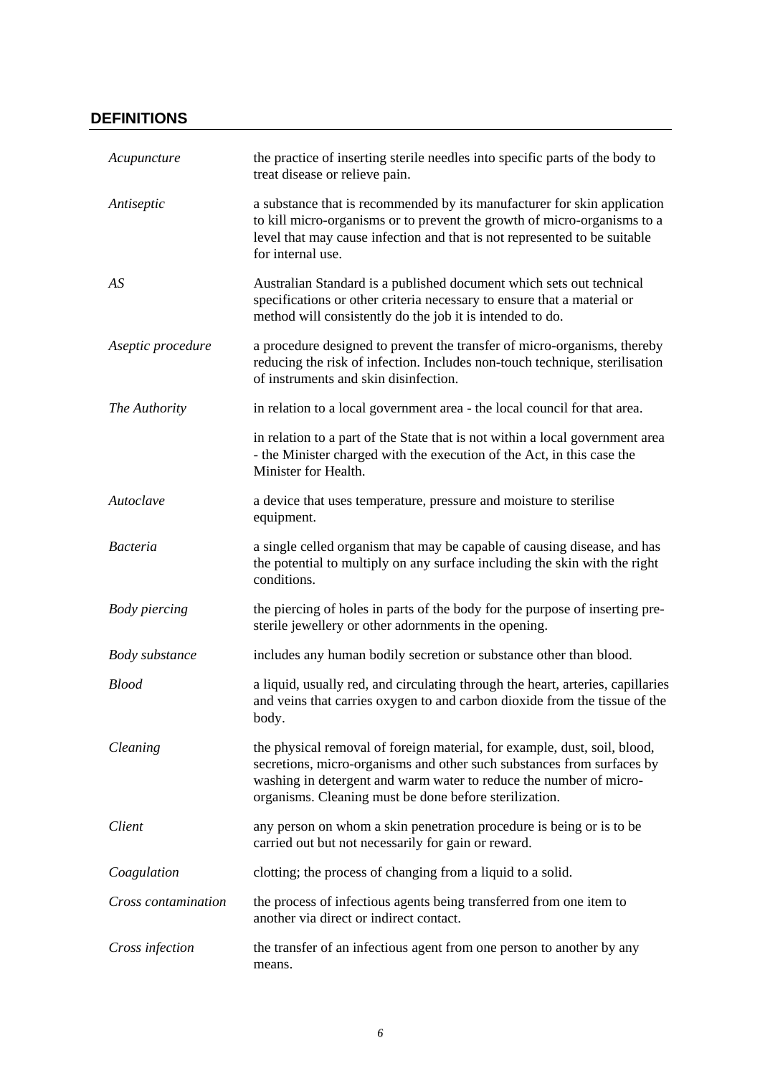# <span id="page-7-0"></span>**DEFINITIONS**

| Acupuncture           | the practice of inserting sterile needles into specific parts of the body to<br>treat disease or relieve pain.                                                                                                                                                                      |
|-----------------------|-------------------------------------------------------------------------------------------------------------------------------------------------------------------------------------------------------------------------------------------------------------------------------------|
| Antiseptic            | a substance that is recommended by its manufacturer for skin application<br>to kill micro-organisms or to prevent the growth of micro-organisms to a<br>level that may cause infection and that is not represented to be suitable<br>for internal use.                              |
| AS                    | Australian Standard is a published document which sets out technical<br>specifications or other criteria necessary to ensure that a material or<br>method will consistently do the job it is intended to do.                                                                        |
| Aseptic procedure     | a procedure designed to prevent the transfer of micro-organisms, thereby<br>reducing the risk of infection. Includes non-touch technique, sterilisation<br>of instruments and skin disinfection.                                                                                    |
| The Authority         | in relation to a local government area - the local council for that area.                                                                                                                                                                                                           |
|                       | in relation to a part of the State that is not within a local government area<br>- the Minister charged with the execution of the Act, in this case the<br>Minister for Health.                                                                                                     |
| Autoclave             | a device that uses temperature, pressure and moisture to sterilise<br>equipment.                                                                                                                                                                                                    |
| <b>Bacteria</b>       | a single celled organism that may be capable of causing disease, and has<br>the potential to multiply on any surface including the skin with the right<br>conditions.                                                                                                               |
| <b>Body piercing</b>  | the piercing of holes in parts of the body for the purpose of inserting pre-<br>sterile jewellery or other adornments in the opening.                                                                                                                                               |
| <b>Body</b> substance | includes any human bodily secretion or substance other than blood.                                                                                                                                                                                                                  |
| <b>Blood</b>          | a liquid, usually red, and circulating through the heart, arteries, capillaries<br>and veins that carries oxygen to and carbon dioxide from the tissue of the<br>body.                                                                                                              |
| Cleaning              | the physical removal of foreign material, for example, dust, soil, blood,<br>secretions, micro-organisms and other such substances from surfaces by<br>washing in detergent and warm water to reduce the number of micro-<br>organisms. Cleaning must be done before sterilization. |
| Client                | any person on whom a skin penetration procedure is being or is to be<br>carried out but not necessarily for gain or reward.                                                                                                                                                         |
| Coagulation           | clotting; the process of changing from a liquid to a solid.                                                                                                                                                                                                                         |
| Cross contamination   | the process of infectious agents being transferred from one item to<br>another via direct or indirect contact.                                                                                                                                                                      |
| Cross infection       | the transfer of an infectious agent from one person to another by any<br>means.                                                                                                                                                                                                     |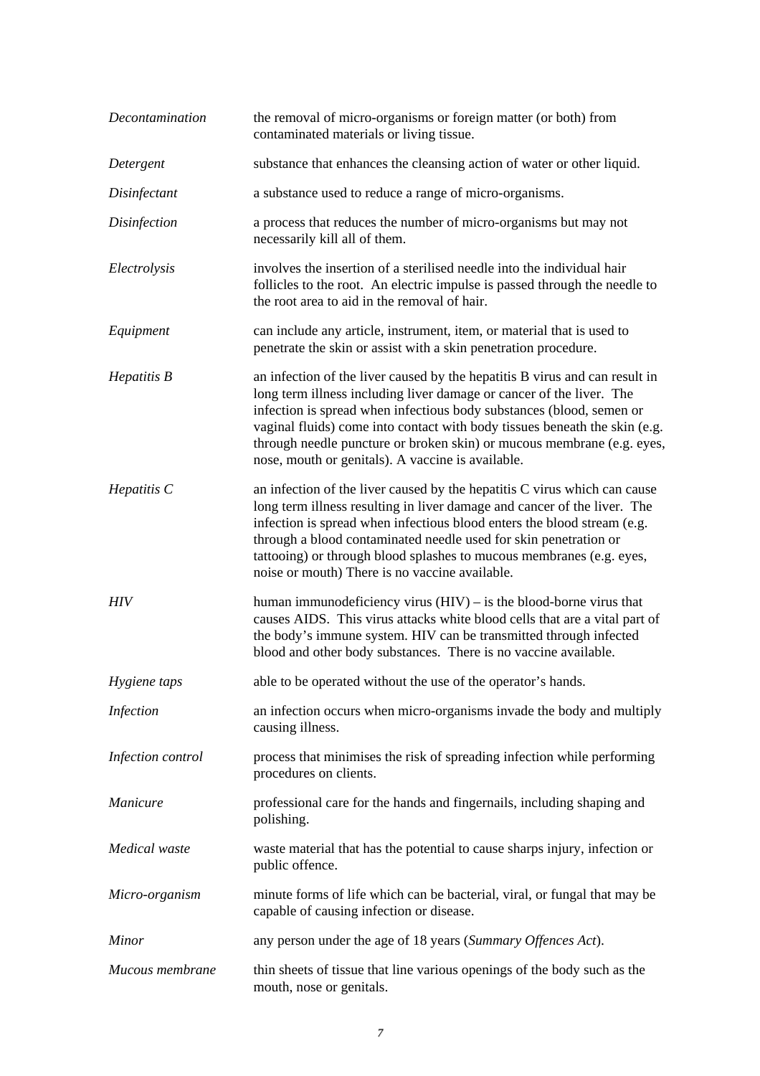| Decontamination         | the removal of micro-organisms or foreign matter (or both) from<br>contaminated materials or living tissue.                                                                                                                                                                                                                                                                                                                              |
|-------------------------|------------------------------------------------------------------------------------------------------------------------------------------------------------------------------------------------------------------------------------------------------------------------------------------------------------------------------------------------------------------------------------------------------------------------------------------|
| Detergent               | substance that enhances the cleansing action of water or other liquid.                                                                                                                                                                                                                                                                                                                                                                   |
| Disinfectant            | a substance used to reduce a range of micro-organisms.                                                                                                                                                                                                                                                                                                                                                                                   |
| Disinfection            | a process that reduces the number of micro-organisms but may not<br>necessarily kill all of them.                                                                                                                                                                                                                                                                                                                                        |
| Electrolysis            | involves the insertion of a sterilised needle into the individual hair<br>follicles to the root. An electric impulse is passed through the needle to<br>the root area to aid in the removal of hair.                                                                                                                                                                                                                                     |
| Equipment               | can include any article, instrument, item, or material that is used to<br>penetrate the skin or assist with a skin penetration procedure.                                                                                                                                                                                                                                                                                                |
| Hepatitis B             | an infection of the liver caused by the hepatitis B virus and can result in<br>long term illness including liver damage or cancer of the liver. The<br>infection is spread when infectious body substances (blood, semen or<br>vaginal fluids) come into contact with body tissues beneath the skin (e.g.<br>through needle puncture or broken skin) or mucous membrane (e.g. eyes,<br>nose, mouth or genitals). A vaccine is available. |
| $He$ <i>patitis</i> $C$ | an infection of the liver caused by the hepatitis C virus which can cause<br>long term illness resulting in liver damage and cancer of the liver. The<br>infection is spread when infectious blood enters the blood stream (e.g.<br>through a blood contaminated needle used for skin penetration or<br>tattooing) or through blood splashes to mucous membranes (e.g. eyes,<br>noise or mouth) There is no vaccine available.           |
| <b>HIV</b>              | human immunodeficiency virus $(HIV)$ – is the blood-borne virus that<br>causes AIDS. This virus attacks white blood cells that are a vital part of<br>the body's immune system. HIV can be transmitted through infected<br>blood and other body substances. There is no vaccine available.                                                                                                                                               |
| Hygiene taps            | able to be operated without the use of the operator's hands.                                                                                                                                                                                                                                                                                                                                                                             |
| <b>Infection</b>        | an infection occurs when micro-organisms invade the body and multiply<br>causing illness.                                                                                                                                                                                                                                                                                                                                                |
| Infection control       | process that minimises the risk of spreading infection while performing<br>procedures on clients.                                                                                                                                                                                                                                                                                                                                        |
| Manicure                | professional care for the hands and fingernails, including shaping and<br>polishing.                                                                                                                                                                                                                                                                                                                                                     |
| Medical waste           | waste material that has the potential to cause sharps injury, infection or<br>public offence.                                                                                                                                                                                                                                                                                                                                            |
| Micro-organism          | minute forms of life which can be bacterial, viral, or fungal that may be<br>capable of causing infection or disease.                                                                                                                                                                                                                                                                                                                    |
| <b>Minor</b>            | any person under the age of 18 years (Summary Offences Act).                                                                                                                                                                                                                                                                                                                                                                             |
| Mucous membrane         | thin sheets of tissue that line various openings of the body such as the<br>mouth, nose or genitals.                                                                                                                                                                                                                                                                                                                                     |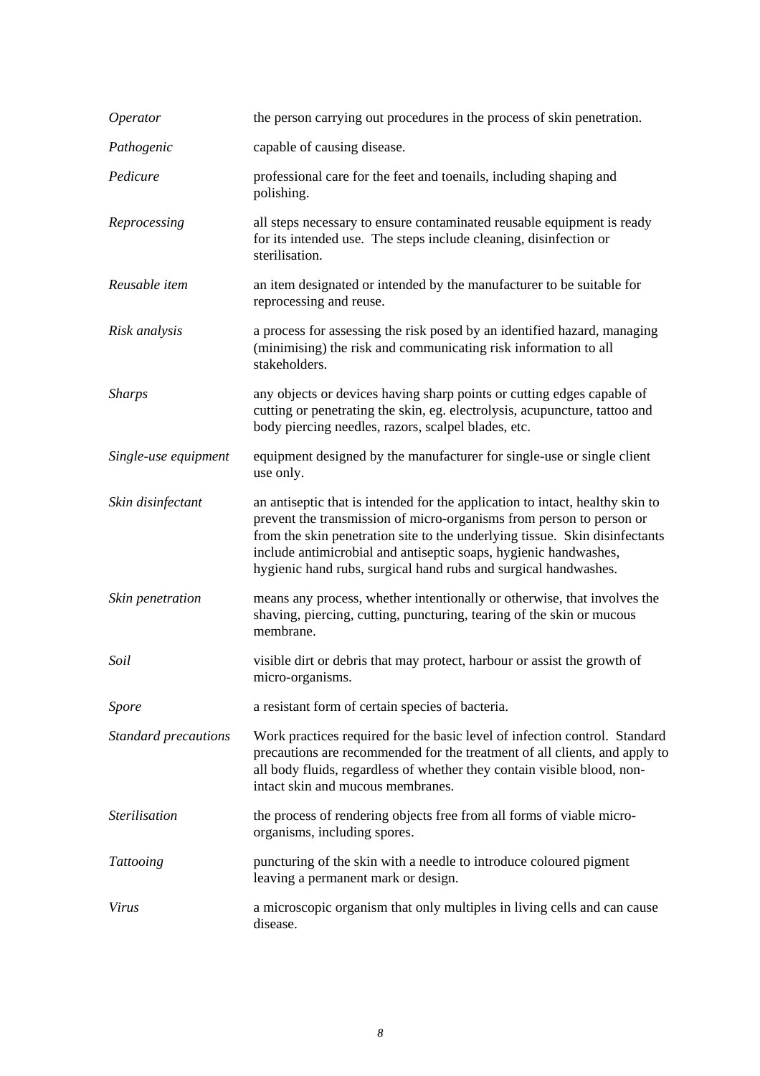| Operator                    | the person carrying out procedures in the process of skin penetration.                                                                                                                                                                                                                                                                                                      |
|-----------------------------|-----------------------------------------------------------------------------------------------------------------------------------------------------------------------------------------------------------------------------------------------------------------------------------------------------------------------------------------------------------------------------|
| Pathogenic                  | capable of causing disease.                                                                                                                                                                                                                                                                                                                                                 |
| Pedicure                    | professional care for the feet and toenails, including shaping and<br>polishing.                                                                                                                                                                                                                                                                                            |
| Reprocessing                | all steps necessary to ensure contaminated reusable equipment is ready<br>for its intended use. The steps include cleaning, disinfection or<br>sterilisation.                                                                                                                                                                                                               |
| Reusable item               | an item designated or intended by the manufacturer to be suitable for<br>reprocessing and reuse.                                                                                                                                                                                                                                                                            |
| Risk analysis               | a process for assessing the risk posed by an identified hazard, managing<br>(minimising) the risk and communicating risk information to all<br>stakeholders.                                                                                                                                                                                                                |
| <b>Sharps</b>               | any objects or devices having sharp points or cutting edges capable of<br>cutting or penetrating the skin, eg. electrolysis, acupuncture, tattoo and<br>body piercing needles, razors, scalpel blades, etc.                                                                                                                                                                 |
| Single-use equipment        | equipment designed by the manufacturer for single-use or single client<br>use only.                                                                                                                                                                                                                                                                                         |
| Skin disinfectant           | an antiseptic that is intended for the application to intact, healthy skin to<br>prevent the transmission of micro-organisms from person to person or<br>from the skin penetration site to the underlying tissue. Skin disinfectants<br>include antimicrobial and antiseptic soaps, hygienic handwashes,<br>hygienic hand rubs, surgical hand rubs and surgical handwashes. |
| Skin penetration            | means any process, whether intentionally or otherwise, that involves the<br>shaving, piercing, cutting, puncturing, tearing of the skin or mucous<br>membrane.                                                                                                                                                                                                              |
| Soil                        | visible dirt or debris that may protect, harbour or assist the growth of<br>micro-organisms.                                                                                                                                                                                                                                                                                |
| <b>Spore</b>                | a resistant form of certain species of bacteria.                                                                                                                                                                                                                                                                                                                            |
| <b>Standard precautions</b> | Work practices required for the basic level of infection control. Standard<br>precautions are recommended for the treatment of all clients, and apply to<br>all body fluids, regardless of whether they contain visible blood, non-<br>intact skin and mucous membranes.                                                                                                    |
| <b>Sterilisation</b>        | the process of rendering objects free from all forms of viable micro-<br>organisms, including spores.                                                                                                                                                                                                                                                                       |
| Tattooing                   | puncturing of the skin with a needle to introduce coloured pigment<br>leaving a permanent mark or design.                                                                                                                                                                                                                                                                   |
| Virus                       | a microscopic organism that only multiples in living cells and can cause<br>disease.                                                                                                                                                                                                                                                                                        |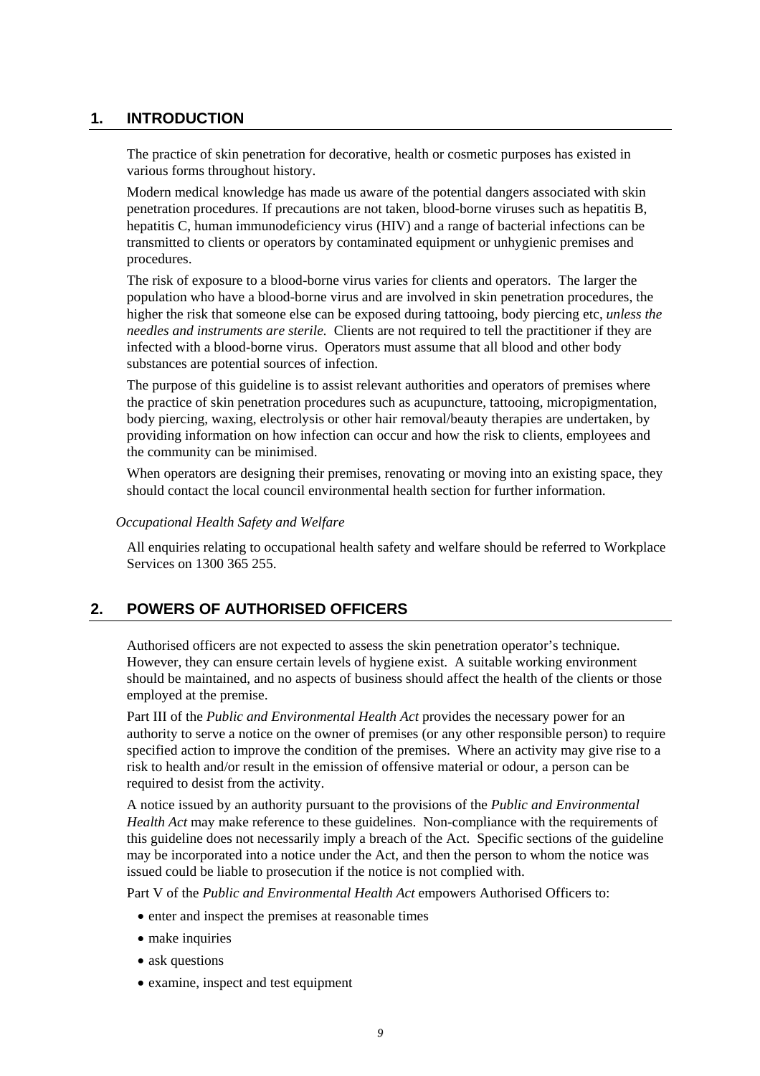# <span id="page-10-0"></span>**1. INTRODUCTION**

The practice of skin penetration for decorative, health or cosmetic purposes has existed in various forms throughout history.

Modern medical knowledge has made us aware of the potential dangers associated with skin penetration procedures. If precautions are not taken, blood-borne viruses such as hepatitis B, hepatitis C, human immunodeficiency virus (HIV) and a range of bacterial infections can be transmitted to clients or operators by contaminated equipment or unhygienic premises and procedures.

The risk of exposure to a blood-borne virus varies for clients and operators. The larger the population who have a blood-borne virus and are involved in skin penetration procedures, the higher the risk that someone else can be exposed during tattooing, body piercing etc, *unless the needles and instruments are sterile.* Clients are not required to tell the practitioner if they are infected with a blood-borne virus. Operators must assume that all blood and other body substances are potential sources of infection.

The purpose of this guideline is to assist relevant authorities and operators of premises where the practice of skin penetration procedures such as acupuncture, tattooing, micropigmentation, body piercing, waxing, electrolysis or other hair removal/beauty therapies are undertaken, by providing information on how infection can occur and how the risk to clients, employees and the community can be minimised.

When operators are designing their premises, renovating or moving into an existing space, they should contact the local council environmental health section for further information.

*Occupational Health Safety and Welfare* 

All enquiries relating to occupational health safety and welfare should be referred to Workplace Services on 1300 365 255.

# <span id="page-10-1"></span>**2. POWERS OF AUTHORISED OFFICERS**

Authorised officers are not expected to assess the skin penetration operator's technique. However, they can ensure certain levels of hygiene exist. A suitable working environment should be maintained, and no aspects of business should affect the health of the clients or those employed at the premise.

Part III of the *Public and Environmental Health Act* provides the necessary power for an authority to serve a notice on the owner of premises (or any other responsible person) to require specified action to improve the condition of the premises. Where an activity may give rise to a risk to health and/or result in the emission of offensive material or odour, a person can be required to desist from the activity.

A notice issued by an authority pursuant to the provisions of the *Public and Environmental Health Act* may make reference to these guidelines. Non-compliance with the requirements of this guideline does not necessarily imply a breach of the Act. Specific sections of the guideline may be incorporated into a notice under the Act, and then the person to whom the notice was issued could be liable to prosecution if the notice is not complied with.

Part V of the *Public and Environmental Health Act* empowers Authorised Officers to:

- enter and inspect the premises at reasonable times
- make inquiries
- ask questions
- examine, inspect and test equipment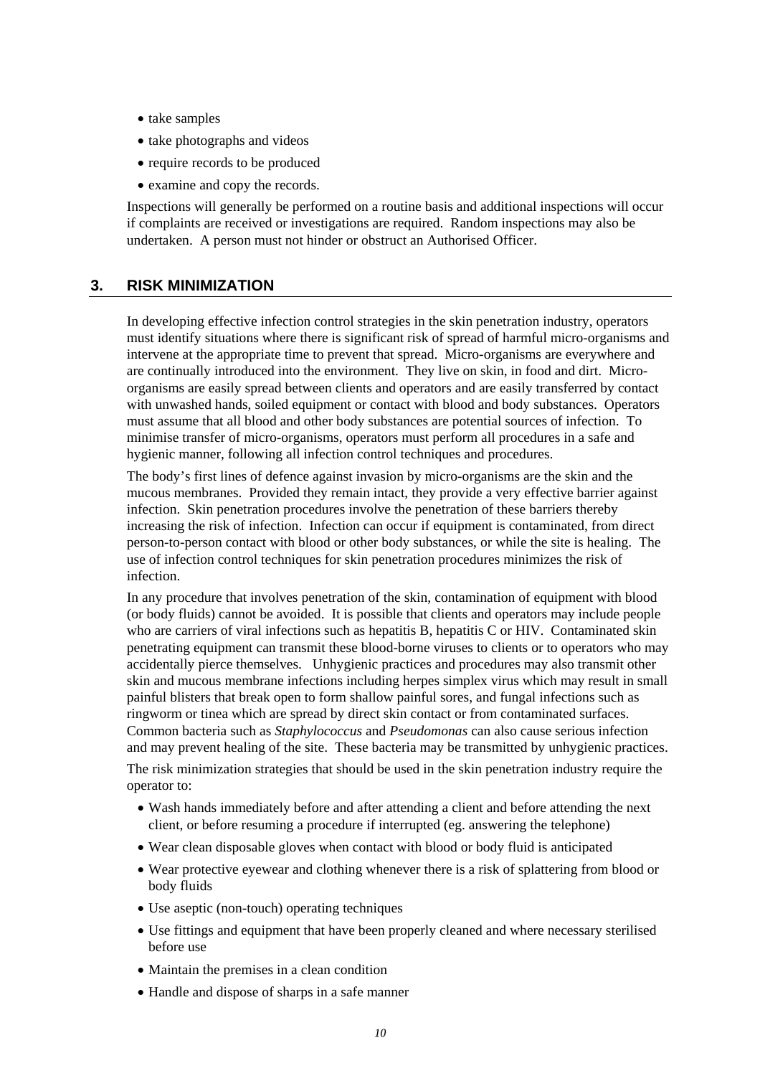- take samples
- take photographs and videos
- require records to be produced
- examine and copy the records.

Inspections will generally be performed on a routine basis and additional inspections will occur if complaints are received or investigations are required. Random inspections may also be undertaken. A person must not hinder or obstruct an Authorised Officer.

## <span id="page-11-0"></span>**3. RISK MINIMIZATION**

In developing effective infection control strategies in the skin penetration industry, operators must identify situations where there is significant risk of spread of harmful micro-organisms and intervene at the appropriate time to prevent that spread. Micro-organisms are everywhere and are continually introduced into the environment. They live on skin, in food and dirt. Microorganisms are easily spread between clients and operators and are easily transferred by contact with unwashed hands, soiled equipment or contact with blood and body substances. Operators must assume that all blood and other body substances are potential sources of infection. To minimise transfer of micro-organisms, operators must perform all procedures in a safe and hygienic manner, following all infection control techniques and procedures.

The body's first lines of defence against invasion by micro-organisms are the skin and the mucous membranes. Provided they remain intact, they provide a very effective barrier against infection. Skin penetration procedures involve the penetration of these barriers thereby increasing the risk of infection. Infection can occur if equipment is contaminated, from direct person-to-person contact with blood or other body substances, or while the site is healing. The use of infection control techniques for skin penetration procedures minimizes the risk of infection.

In any procedure that involves penetration of the skin, contamination of equipment with blood (or body fluids) cannot be avoided. It is possible that clients and operators may include people who are carriers of viral infections such as hepatitis B, hepatitis C or HIV. Contaminated skin penetrating equipment can transmit these blood-borne viruses to clients or to operators who may accidentally pierce themselves. Unhygienic practices and procedures may also transmit other skin and mucous membrane infections including herpes simplex virus which may result in small painful blisters that break open to form shallow painful sores, and fungal infections such as ringworm or tinea which are spread by direct skin contact or from contaminated surfaces. Common bacteria such as *Staphylococcus* and *Pseudomonas* can also cause serious infection and may prevent healing of the site. These bacteria may be transmitted by unhygienic practices.

The risk minimization strategies that should be used in the skin penetration industry require the operator to:

- Wash hands immediately before and after attending a client and before attending the next client, or before resuming a procedure if interrupted (eg. answering the telephone)
- Wear clean disposable gloves when contact with blood or body fluid is anticipated
- Wear protective eyewear and clothing whenever there is a risk of splattering from blood or body fluids
- Use aseptic (non-touch) operating techniques
- Use fittings and equipment that have been properly cleaned and where necessary sterilised before use
- Maintain the premises in a clean condition
- Handle and dispose of sharps in a safe manner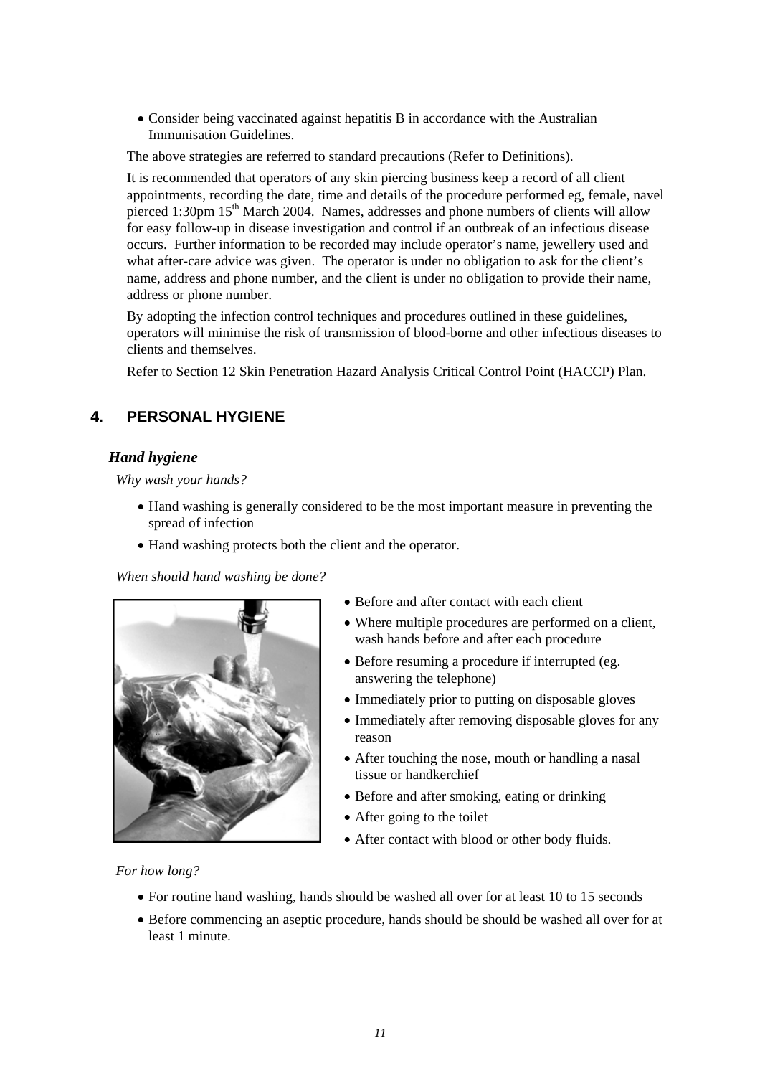• Consider being vaccinated against hepatitis B in accordance with the Australian Immunisation Guidelines.

The above strategies are referred to standard precautions (Refer to Definitions).

It is recommended that operators of any skin piercing business keep a record of all client appointments, recording the date, time and details of the procedure performed eg, female, navel pierced 1:30pm 15<sup>th</sup> March 2004. Names, addresses and phone numbers of clients will allow for easy follow-up in disease investigation and control if an outbreak of an infectious disease occurs. Further information to be recorded may include operator's name, jewellery used and what after-care advice was given. The operator is under no obligation to ask for the client's name, address and phone number, and the client is under no obligation to provide their name, address or phone number.

By adopting the infection control techniques and procedures outlined in these guidelines, operators will minimise the risk of transmission of blood-borne and other infectious diseases to clients and themselves.

Refer to Section 12 Skin Penetration Hazard Analysis Critical Control Point (HACCP) Plan.

# <span id="page-12-0"></span>**4. PERSONAL HYGIENE**

# <span id="page-12-1"></span>*Hand hygiene*

*Why wash your hands?* 

- Hand washing is generally considered to be the most important measure in preventing the spread of infection
- Hand washing protects both the client and the operator.

*When should hand washing be done?* 



- Before and after contact with each client
- Where multiple procedures are performed on a client, wash hands before and after each procedure
- Before resuming a procedure if interrupted (eg. answering the telephone)
- Immediately prior to putting on disposable gloves
- Immediately after removing disposable gloves for any reason
- After touching the nose, mouth or handling a nasal tissue or handkerchief
- Before and after smoking, eating or drinking
- After going to the toilet
- After contact with blood or other body fluids.

*For how long?* 

- For routine hand washing, hands should be washed all over for at least 10 to 15 seconds
- Before commencing an aseptic procedure, hands should be should be washed all over for at least 1 minute.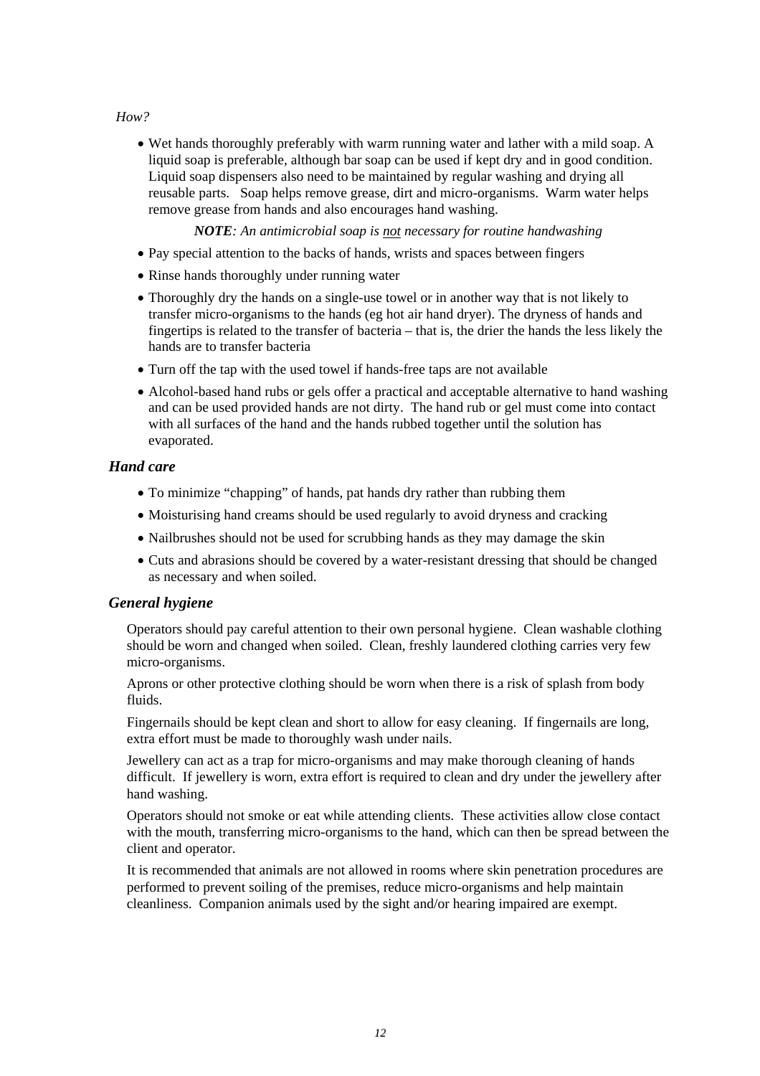## *How?*

• Wet hands thoroughly preferably with warm running water and lather with a mild soap. A liquid soap is preferable, although bar soap can be used if kept dry and in good condition. Liquid soap dispensers also need to be maintained by regular washing and drying all reusable parts. Soap helps remove grease, dirt and micro-organisms. Warm water helps remove grease from hands and also encourages hand washing.

*NOTE: An antimicrobial soap is not necessary for routine handwashing* 

- Pay special attention to the backs of hands, wrists and spaces between fingers
- Rinse hands thoroughly under running water
- Thoroughly dry the hands on a single-use towel or in another way that is not likely to transfer micro-organisms to the hands (eg hot air hand dryer). The dryness of hands and fingertips is related to the transfer of bacteria – that is, the drier the hands the less likely the hands are to transfer bacteria
- Turn off the tap with the used towel if hands-free taps are not available
- Alcohol-based hand rubs or gels offer a practical and acceptable alternative to hand washing and can be used provided hands are not dirty. The hand rub or gel must come into contact with all surfaces of the hand and the hands rubbed together until the solution has evaporated.

# <span id="page-13-0"></span>*Hand care*

- To minimize "chapping" of hands, pat hands dry rather than rubbing them
- Moisturising hand creams should be used regularly to avoid dryness and cracking
- Nailbrushes should not be used for scrubbing hands as they may damage the skin
- Cuts and abrasions should be covered by a water-resistant dressing that should be changed as necessary and when soiled.

# <span id="page-13-1"></span>*General hygiene*

Operators should pay careful attention to their own personal hygiene. Clean washable clothing should be worn and changed when soiled. Clean, freshly laundered clothing carries very few micro-organisms.

Aprons or other protective clothing should be worn when there is a risk of splash from body fluids.

Fingernails should be kept clean and short to allow for easy cleaning. If fingernails are long, extra effort must be made to thoroughly wash under nails.

Jewellery can act as a trap for micro-organisms and may make thorough cleaning of hands difficult. If jewellery is worn, extra effort is required to clean and dry under the jewellery after hand washing.

Operators should not smoke or eat while attending clients. These activities allow close contact with the mouth, transferring micro-organisms to the hand, which can then be spread between the client and operator.

It is recommended that animals are not allowed in rooms where skin penetration procedures are performed to prevent soiling of the premises, reduce micro-organisms and help maintain cleanliness. Companion animals used by the sight and/or hearing impaired are exempt.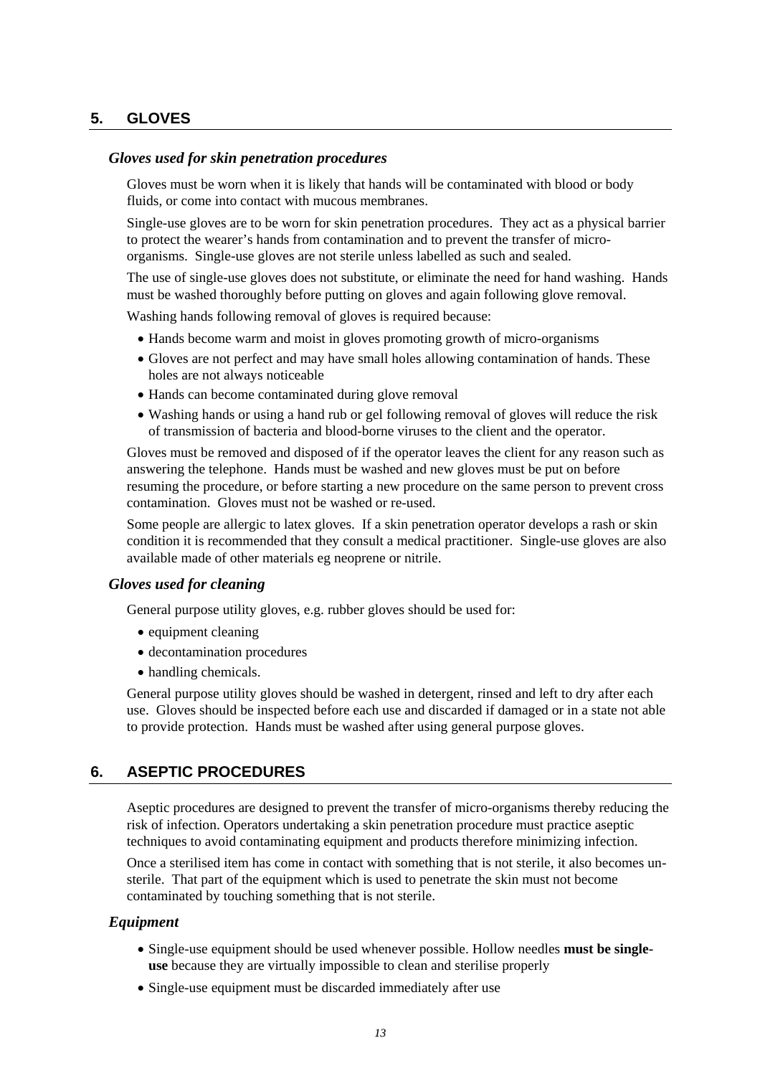# <span id="page-14-0"></span>**5. GLOVES**

#### <span id="page-14-1"></span>*Gloves used for skin penetration procedures*

Gloves must be worn when it is likely that hands will be contaminated with blood or body fluids, or come into contact with mucous membranes.

Single-use gloves are to be worn for skin penetration procedures. They act as a physical barrier to protect the wearer's hands from contamination and to prevent the transfer of microorganisms. Single-use gloves are not sterile unless labelled as such and sealed.

The use of single-use gloves does not substitute, or eliminate the need for hand washing. Hands must be washed thoroughly before putting on gloves and again following glove removal.

Washing hands following removal of gloves is required because:

- Hands become warm and moist in gloves promoting growth of micro-organisms
- Gloves are not perfect and may have small holes allowing contamination of hands. These holes are not always noticeable
- Hands can become contaminated during glove removal
- Washing hands or using a hand rub or gel following removal of gloves will reduce the risk of transmission of bacteria and blood-borne viruses to the client and the operator.

Gloves must be removed and disposed of if the operator leaves the client for any reason such as answering the telephone. Hands must be washed and new gloves must be put on before resuming the procedure, or before starting a new procedure on the same person to prevent cross contamination. Gloves must not be washed or re-used.

Some people are allergic to latex gloves. If a skin penetration operator develops a rash or skin condition it is recommended that they consult a medical practitioner. Single-use gloves are also available made of other materials eg neoprene or nitrile.

#### <span id="page-14-2"></span>*Gloves used for cleaning*

General purpose utility gloves, e.g. rubber gloves should be used for:

- equipment cleaning
- decontamination procedures
- handling chemicals.

General purpose utility gloves should be washed in detergent, rinsed and left to dry after each use. Gloves should be inspected before each use and discarded if damaged or in a state not able to provide protection. Hands must be washed after using general purpose gloves.

## <span id="page-14-3"></span>**6. ASEPTIC PROCEDURES**

Aseptic procedures are designed to prevent the transfer of micro-organisms thereby reducing the risk of infection. Operators undertaking a skin penetration procedure must practice aseptic techniques to avoid contaminating equipment and products therefore minimizing infection.

Once a sterilised item has come in contact with something that is not sterile, it also becomes unsterile. That part of the equipment which is used to penetrate the skin must not become contaminated by touching something that is not sterile.

#### <span id="page-14-4"></span>*Equipment*

- Single-use equipment should be used whenever possible. Hollow needles **must be singleuse** because they are virtually impossible to clean and sterilise properly
- Single-use equipment must be discarded immediately after use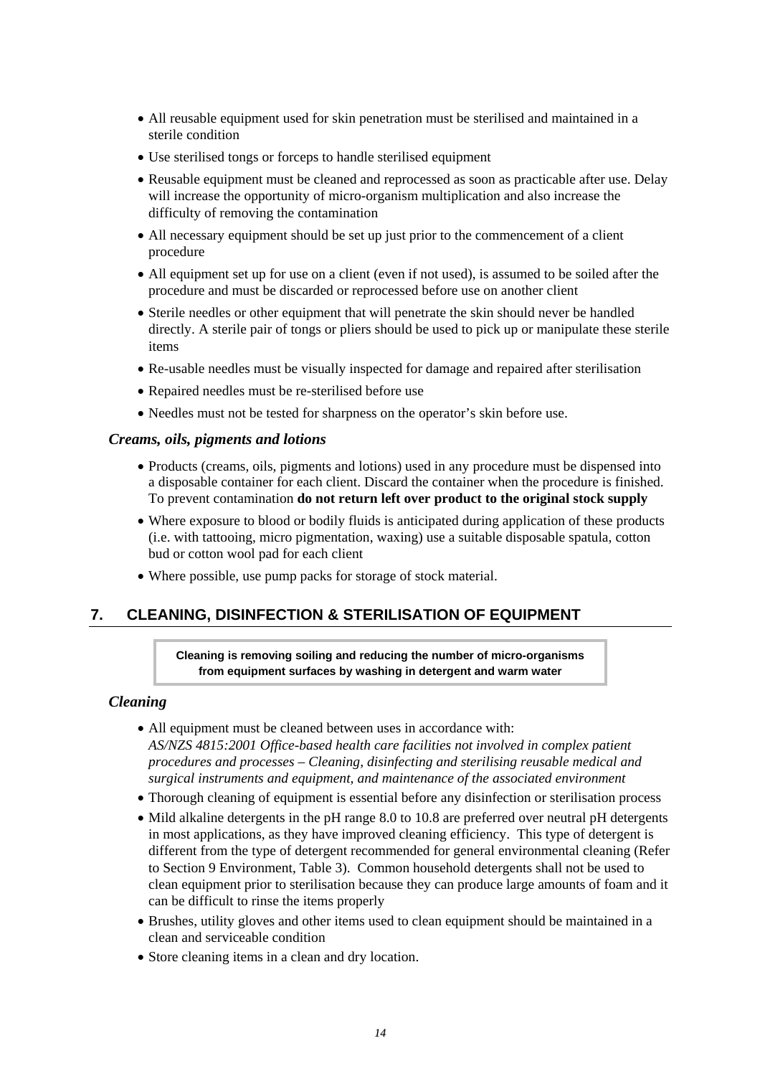- All reusable equipment used for skin penetration must be sterilised and maintained in a sterile condition
- Use sterilised tongs or forceps to handle sterilised equipment
- Reusable equipment must be cleaned and reprocessed as soon as practicable after use. Delay will increase the opportunity of micro-organism multiplication and also increase the difficulty of removing the contamination
- All necessary equipment should be set up just prior to the commencement of a client procedure
- All equipment set up for use on a client (even if not used), is assumed to be soiled after the procedure and must be discarded or reprocessed before use on another client
- Sterile needles or other equipment that will penetrate the skin should never be handled directly. A sterile pair of tongs or pliers should be used to pick up or manipulate these sterile items
- Re-usable needles must be visually inspected for damage and repaired after sterilisation
- Repaired needles must be re-sterilised before use
- Needles must not be tested for sharpness on the operator's skin before use.

#### <span id="page-15-0"></span>*Creams, oils, pigments and lotions*

- Products (creams, oils, pigments and lotions) used in any procedure must be dispensed into a disposable container for each client. Discard the container when the procedure is finished. To prevent contamination **do not return left over product to the original stock supply**
- Where exposure to blood or bodily fluids is anticipated during application of these products (i.e. with tattooing, micro pigmentation, waxing) use a suitable disposable spatula, cotton bud or cotton wool pad for each client
- Where possible, use pump packs for storage of stock material.

# <span id="page-15-1"></span>**7. CLEANING, DISINFECTION & STERILISATION OF EQUIPMENT**

#### **Cleaning is removing soiling and reducing the number of micro-organisms from equipment surfaces by washing in detergent and warm water**

#### <span id="page-15-2"></span>*Cleaning*

- All equipment must be cleaned between uses in accordance with: *AS/NZS 4815:2001 Office-based health care facilities not involved in complex patient procedures and processes – Cleaning, disinfecting and sterilising reusable medical and surgical instruments and equipment, and maintenance of the associated environment*
- Thorough cleaning of equipment is essential before any disinfection or sterilisation process
- Mild alkaline detergents in the pH range 8.0 to 10.8 are preferred over neutral pH detergents in most applications, as they have improved cleaning efficiency. This type of detergent is different from the type of detergent recommended for general environmental cleaning (Refer to Section 9 Environment, Table 3). Common household detergents shall not be used to clean equipment prior to sterilisation because they can produce large amounts of foam and it can be difficult to rinse the items properly
- Brushes, utility gloves and other items used to clean equipment should be maintained in a clean and serviceable condition
- Store cleaning items in a clean and dry location.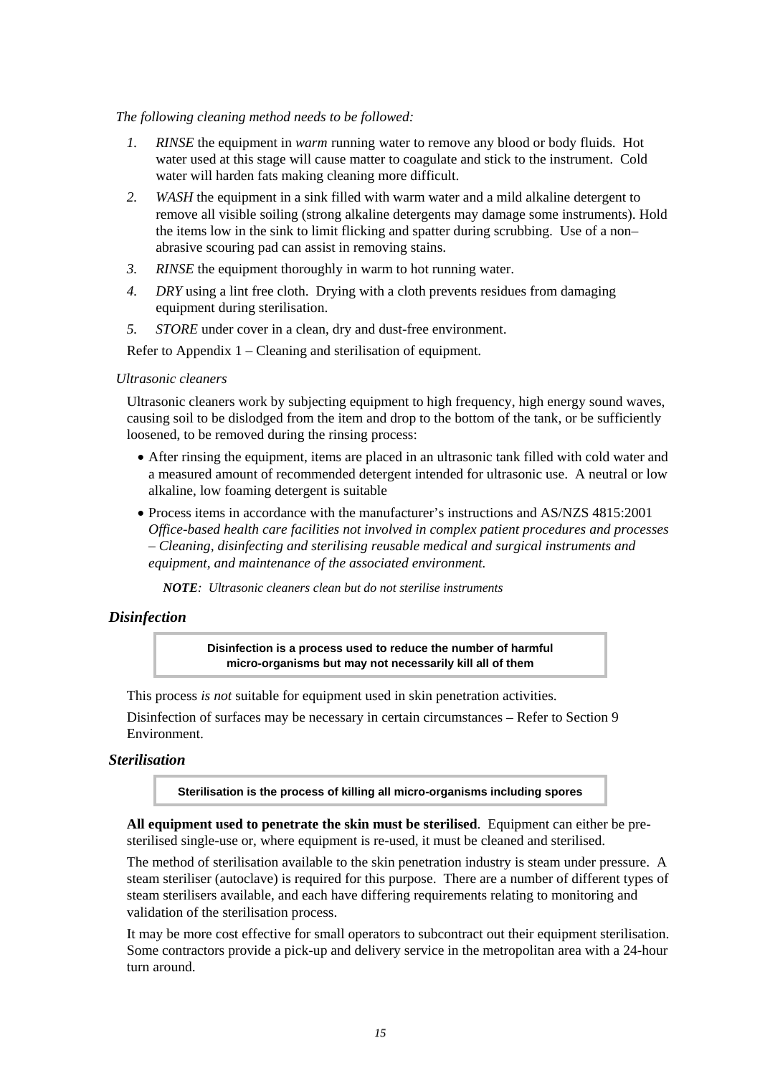#### *The following cleaning method needs to be followed:*

- *1. RINSE* the equipment in *warm* running water to remove any blood or body fluids. Hot water used at this stage will cause matter to coagulate and stick to the instrument. Cold water will harden fats making cleaning more difficult.
- *2. WASH* the equipment in a sink filled with warm water and a mild alkaline detergent to remove all visible soiling (strong alkaline detergents may damage some instruments). Hold the items low in the sink to limit flicking and spatter during scrubbing. Use of a non– abrasive scouring pad can assist in removing stains.
- *3. RINSE* the equipment thoroughly in warm to hot running water.
- *4. DRY* using a lint free cloth. Drying with a cloth prevents residues from damaging equipment during sterilisation.
- *5. STORE* under cover in a clean, dry and dust-free environment.

Refer to Appendix 1 – Cleaning and sterilisation of equipment.

#### *Ultrasonic cleaners*

Ultrasonic cleaners work by subjecting equipment to high frequency, high energy sound waves, causing soil to be dislodged from the item and drop to the bottom of the tank, or be sufficiently loosened, to be removed during the rinsing process:

- After rinsing the equipment, items are placed in an ultrasonic tank filled with cold water and a measured amount of recommended detergent intended for ultrasonic use. A neutral or low alkaline, low foaming detergent is suitable
- Process items in accordance with the manufacturer's instructions and AS/NZS 4815:2001 *Office-based health care facilities not involved in complex patient procedures and processes – Cleaning, disinfecting and sterilising reusable medical and surgical instruments and equipment, and maintenance of the associated environment.*

*NOTE: Ultrasonic cleaners clean but do not sterilise instruments* 

#### <span id="page-16-0"></span>*Disinfection*

**Disinfection is a process used to reduce the number of harmful micro-organisms but may not necessarily kill all of them** 

This process *is not* suitable for equipment used in skin penetration activities.

Disinfection of surfaces may be necessary in certain circumstances – Refer to Section 9 Environment.

#### <span id="page-16-1"></span>*Sterilisation*

**Sterilisation is the process of killing all micro-organisms including spores** 

**All equipment used to penetrate the skin must be sterilised**. Equipment can either be presterilised single-use or, where equipment is re-used, it must be cleaned and sterilised.

The method of sterilisation available to the skin penetration industry is steam under pressure. A steam steriliser (autoclave) is required for this purpose. There are a number of different types of steam sterilisers available, and each have differing requirements relating to monitoring and validation of the sterilisation process.

It may be more cost effective for small operators to subcontract out their equipment sterilisation. Some contractors provide a pick-up and delivery service in the metropolitan area with a 24-hour turn around.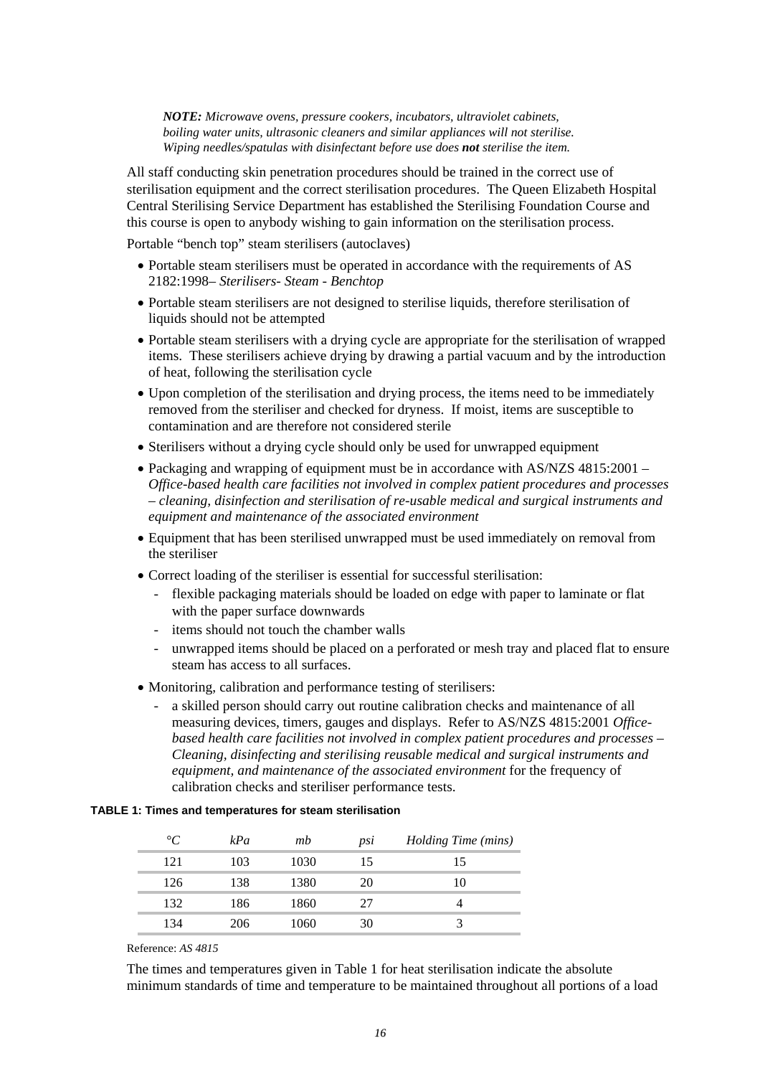*NOTE: Microwave ovens, pressure cookers, incubators, ultraviolet cabinets, boiling water units, ultrasonic cleaners and similar appliances will not sterilise. Wiping needles/spatulas with disinfectant before use does not sterilise the item.* 

All staff conducting skin penetration procedures should be trained in the correct use of sterilisation equipment and the correct sterilisation procedures. The Queen Elizabeth Hospital Central Sterilising Service Department has established the Sterilising Foundation Course and this course is open to anybody wishing to gain information on the sterilisation process.

Portable "bench top" steam sterilisers (autoclaves)

- Portable steam sterilisers must be operated in accordance with the requirements of AS 2182:1998– *Sterilisers- Steam - Benchtop*
- Portable steam sterilisers are not designed to sterilise liquids, therefore sterilisation of liquids should not be attempted
- Portable steam sterilisers with a drying cycle are appropriate for the sterilisation of wrapped items. These sterilisers achieve drying by drawing a partial vacuum and by the introduction of heat, following the sterilisation cycle
- Upon completion of the sterilisation and drying process, the items need to be immediately removed from the steriliser and checked for dryness. If moist, items are susceptible to contamination and are therefore not considered sterile
- Sterilisers without a drying cycle should only be used for unwrapped equipment
- Packaging and wrapping of equipment must be in accordance with AS/NZS 4815:2001 *Office-based health care facilities not involved in complex patient procedures and processes – cleaning, disinfection and sterilisation of re-usable medical and surgical instruments and equipment and maintenance of the associated environment*
- Equipment that has been sterilised unwrapped must be used immediately on removal from the steriliser
- Correct loading of the steriliser is essential for successful sterilisation:
	- flexible packaging materials should be loaded on edge with paper to laminate or flat with the paper surface downwards
	- items should not touch the chamber walls
	- unwrapped items should be placed on a perforated or mesh tray and placed flat to ensure steam has access to all surfaces.
- Monitoring, calibration and performance testing of sterilisers:
	- a skilled person should carry out routine calibration checks and maintenance of all measuring devices, timers, gauges and displays. Refer to AS/NZS 4815:2001 *Officebased health care facilities not involved in complex patient procedures and processes – Cleaning, disinfecting and sterilising reusable medical and surgical instruments and equipment, and maintenance of the associated environment* for the frequency of calibration checks and steriliser performance tests.

#### **TABLE 1: Times and temperatures for steam sterilisation**

| $\mathcal{C}$ | kPa | mb   | psi | Holding Time (mins) |
|---------------|-----|------|-----|---------------------|
| 121           | 103 | 1030 |     |                     |
| 126           | 138 | 1380 | 20  | 10                  |
| 132           | 186 | 1860 |     |                     |
| 134           | 206 | 1060 | 30  |                     |

Reference: *AS 4815* 

The times and temperatures given in Table 1 for heat sterilisation indicate the absolute minimum standards of time and temperature to be maintained throughout all portions of a load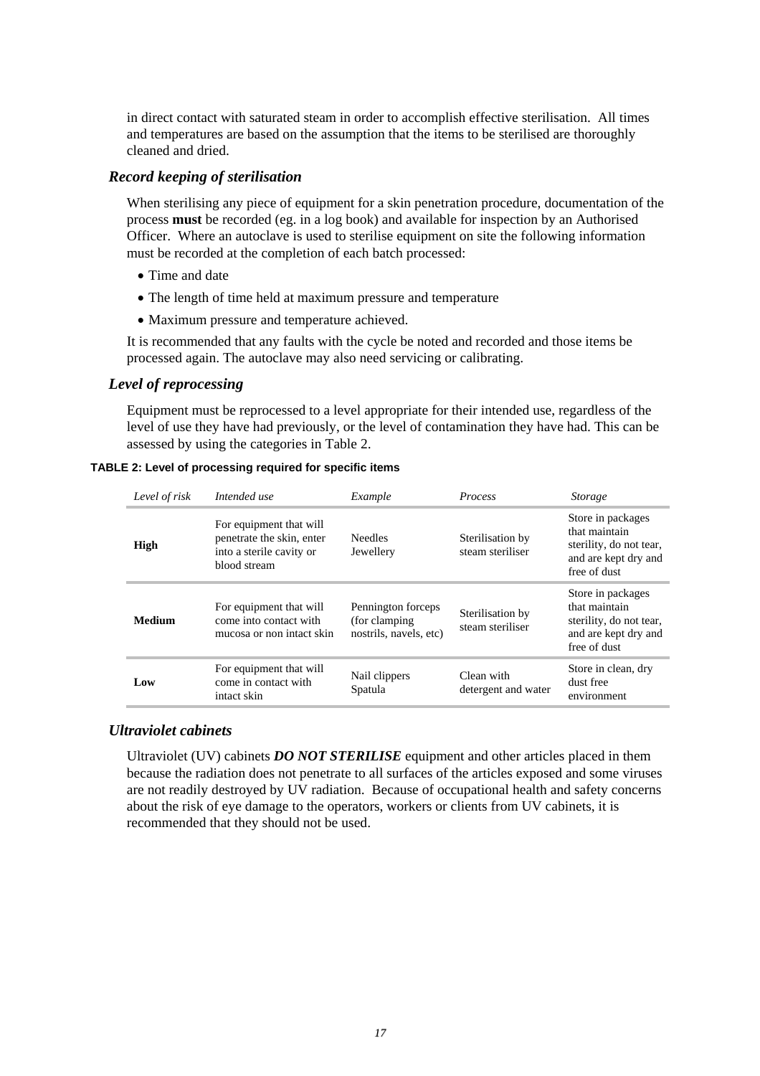in direct contact with saturated steam in order to accomplish effective sterilisation. All times and temperatures are based on the assumption that the items to be sterilised are thoroughly cleaned and dried.

#### <span id="page-18-0"></span>*Record keeping of sterilisation*

When sterilising any piece of equipment for a skin penetration procedure, documentation of the process **must** be recorded (eg. in a log book) and available for inspection by an Authorised Officer. Where an autoclave is used to sterilise equipment on site the following information must be recorded at the completion of each batch processed:

- Time and date
- The length of time held at maximum pressure and temperature
- Maximum pressure and temperature achieved.

It is recommended that any faults with the cycle be noted and recorded and those items be processed again. The autoclave may also need servicing or calibrating.

## <span id="page-18-1"></span>*Level of reprocessing*

Equipment must be reprocessed to a level appropriate for their intended use, regardless of the level of use they have had previously, or the level of contamination they have had. This can be assessed by using the categories in Table 2.

| Level of risk | Intended use                                                                                     | Example                                                             | <i>Process</i>                       | <i>Storage</i>                                                                                        |
|---------------|--------------------------------------------------------------------------------------------------|---------------------------------------------------------------------|--------------------------------------|-------------------------------------------------------------------------------------------------------|
| High          | For equipment that will<br>penetrate the skin, enter<br>into a sterile cavity or<br>blood stream | Sterilisation by<br><b>Needles</b><br>steam steriliser<br>Jewellery |                                      | Store in packages<br>that maintain<br>sterility, do not tear,<br>and are kept dry and<br>free of dust |
| <b>Medium</b> | For equipment that will<br>come into contact with<br>mucosa or non intact skin                   | Pennington forceps<br>(for clamping)<br>nostrils, navels, etc)      | Sterilisation by<br>steam steriliser | Store in packages<br>that maintain<br>sterility, do not tear,<br>and are kept dry and<br>free of dust |
| Low           | For equipment that will<br>come in contact with<br>intact skin                                   | Nail clippers<br>Spatula                                            | Clean with<br>detergent and water    | Store in clean, dry<br>dust free<br>environment                                                       |

#### **TABLE 2: Level of processing required for specific items**

# <span id="page-18-2"></span>*Ultraviolet cabinets*

Ultraviolet (UV) cabinets *DO NOT STERILISE* equipment and other articles placed in them because the radiation does not penetrate to all surfaces of the articles exposed and some viruses are not readily destroyed by UV radiation. Because of occupational health and safety concerns about the risk of eye damage to the operators, workers or clients from UV cabinets, it is recommended that they should not be used.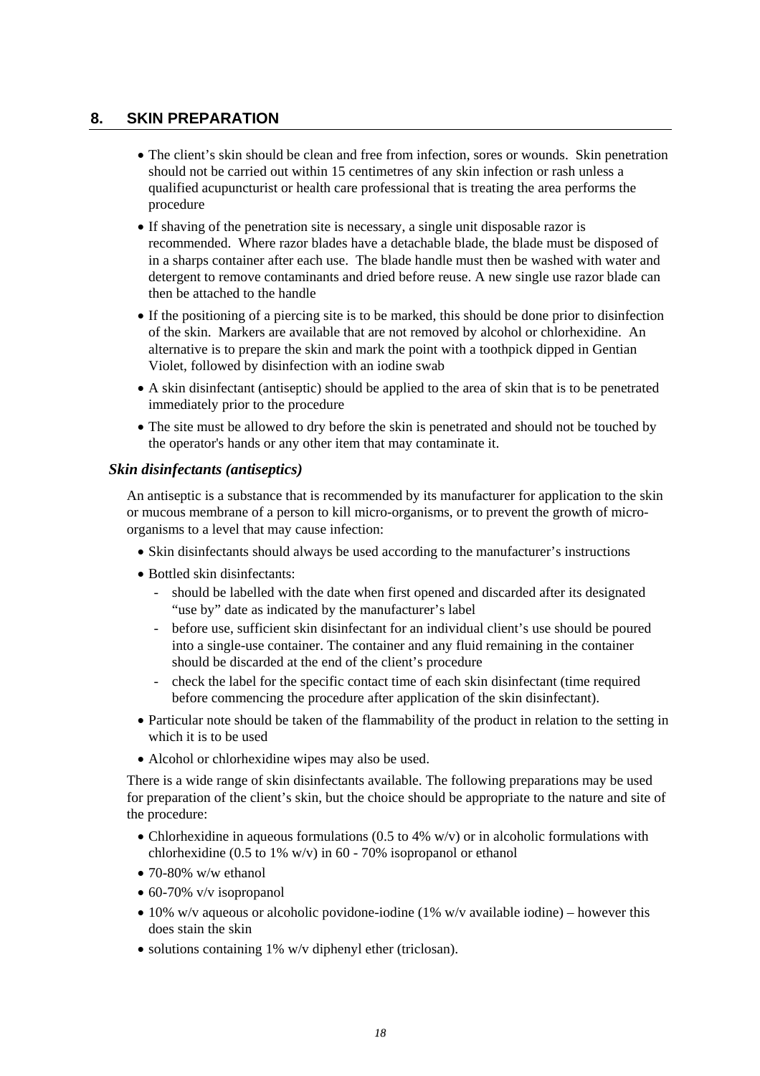# **8. SKIN PREPARATION**

- The client's skin should be clean and free from infection, sores or wounds. Skin penetration should not be carried out within 15 centimetres of any skin infection or rash unless a qualified acupuncturist or health care professional that is treating the area performs the procedure
- If shaving of the penetration site is necessary, a single unit disposable razor is recommended. Where razor blades have a detachable blade, the blade must be disposed of in a sharps container after each use. The blade handle must then be washed with water and detergent to remove contaminants and dried before reuse. A new single use razor blade can then be attached to the handle
- If the positioning of a piercing site is to be marked, this should be done prior to disinfection of the skin. Markers are available that are not removed by alcohol or chlorhexidine. An alternative is to prepare the skin and mark the point with a toothpick dipped in Gentian Violet, followed by disinfection with an iodine swab
- A skin disinfectant (antiseptic) should be applied to the area of skin that is to be penetrated immediately prior to the procedure
- The site must be allowed to dry before the skin is penetrated and should not be touched by the operator's hands or any other item that may contaminate it.

#### <span id="page-19-1"></span>*Skin disinfectants (antiseptics)*

An antiseptic is a substance that is recommended by its manufacturer for application to the skin or mucous membrane of a person to kill micro-organisms, or to prevent the growth of microorganisms to a level that may cause infection:

- Skin disinfectants should always be used according to the manufacturer's instructions
- Bottled skin disinfectants:
	- should be labelled with the date when first opened and discarded after its designated "use by" date as indicated by the manufacturer's label
	- before use, sufficient skin disinfectant for an individual client's use should be poured into a single-use container. The container and any fluid remaining in the container should be discarded at the end of the client's procedure
	- check the label for the specific contact time of each skin disinfectant (time required before commencing the procedure after application of the skin disinfectant).
- Particular note should be taken of the flammability of the product in relation to the setting in which it is to be used
- Alcohol or chlorhexidine wipes may also be used.

There is a wide range of skin disinfectants available. The following preparations may be used for preparation of the client's skin, but the choice should be appropriate to the nature and site of the procedure:

- Chlorhexidine in aqueous formulations (0.5 to 4% w/v) or in alcoholic formulations with chlorhexidine (0.5 to 1% w/v) in 60 - 70% isopropanol or ethanol
- <span id="page-19-0"></span>• 70-80% w/w ethanol
- 60-70% v/v isopropanol
- 10% w/v aqueous or alcoholic povidone-iodine (1% w/v available iodine) however this does stain the skin
- solutions containing 1% w/v diphenyl ether (triclosan).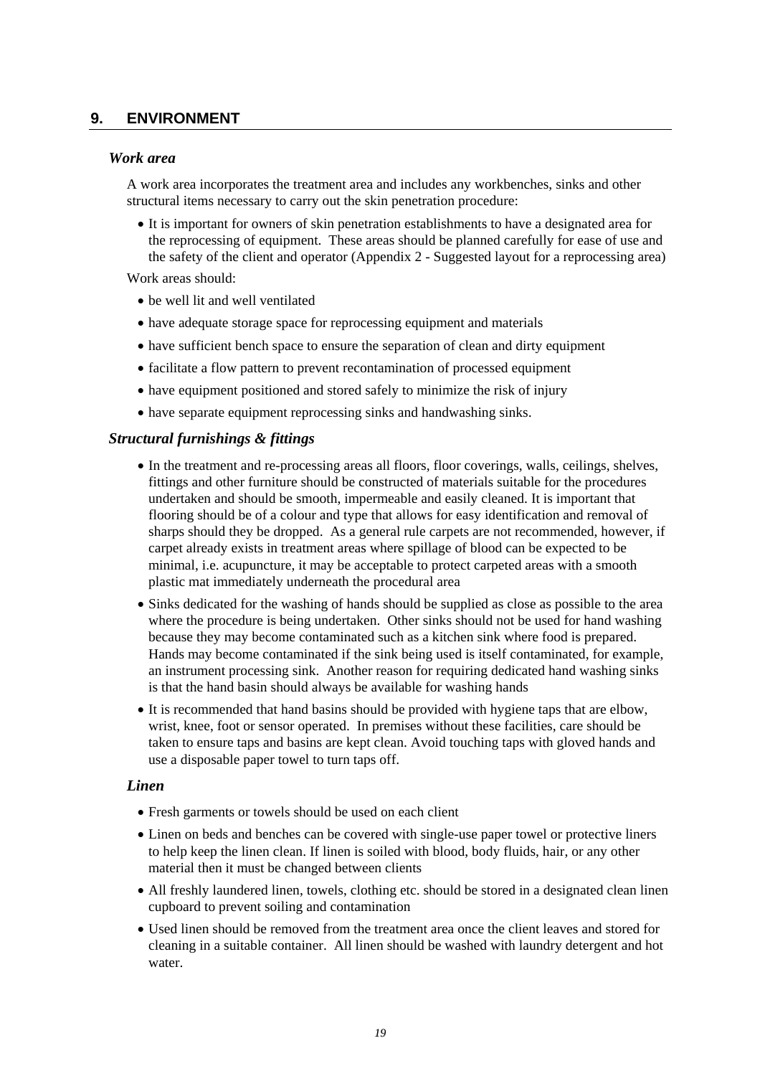# **9. ENVIRONMENT**

#### <span id="page-20-1"></span>*Work area*

A work area incorporates the treatment area and includes any workbenches, sinks and other structural items necessary to carry out the skin penetration procedure:

• It is important for owners of skin penetration establishments to have a designated area for the reprocessing of equipment. These areas should be planned carefully for ease of use and the safety of the client and operator (Appendix 2 - Suggested layout for a reprocessing area)

Work areas should:

- be well lit and well ventilated
- have adequate storage space for reprocessing equipment and materials
- have sufficient bench space to ensure the separation of clean and dirty equipment
- facilitate a flow pattern to prevent recontamination of processed equipment
- have equipment positioned and stored safely to minimize the risk of injury
- have separate equipment reprocessing sinks and handwashing sinks.

#### <span id="page-20-2"></span>*Structural furnishings & fittings*

- In the treatment and re-processing areas all floors, floor coverings, walls, ceilings, shelves, fittings and other furniture should be constructed of materials suitable for the procedures undertaken and should be smooth, impermeable and easily cleaned. It is important that flooring should be of a colour and type that allows for easy identification and removal of sharps should they be dropped. As a general rule carpets are not recommended, however, if carpet already exists in treatment areas where spillage of blood can be expected to be minimal, i.e. acupuncture, it may be acceptable to protect carpeted areas with a smooth plastic mat immediately underneath the procedural area
- Sinks dedicated for the washing of hands should be supplied as close as possible to the area where the procedure is being undertaken. Other sinks should not be used for hand washing because they may become contaminated such as a kitchen sink where food is prepared. Hands may become contaminated if the sink being used is itself contaminated, for example, an instrument processing sink. Another reason for requiring dedicated hand washing sinks is that the hand basin should always be available for washing hands
- It is recommended that hand basins should be provided with hygiene taps that are elbow, wrist, knee, foot or sensor operated. In premises without these facilities, care should be taken to ensure taps and basins are kept clean. Avoid touching taps with gloved hands and use a disposable paper towel to turn taps off.

#### <span id="page-20-3"></span>*Linen*

- Fresh garments or towels should be used on each client
- Linen on beds and benches can be covered with single-use paper towel or protective liners to help keep the linen clean. If linen is soiled with blood, body fluids, hair, or any other material then it must be changed between clients
- All freshly laundered linen, towels, clothing etc. should be stored in a designated clean linen cupboard to prevent soiling and contamination
- <span id="page-20-0"></span>• Used linen should be removed from the treatment area once the client leaves and stored for cleaning in a suitable container. All linen should be washed with laundry detergent and hot water.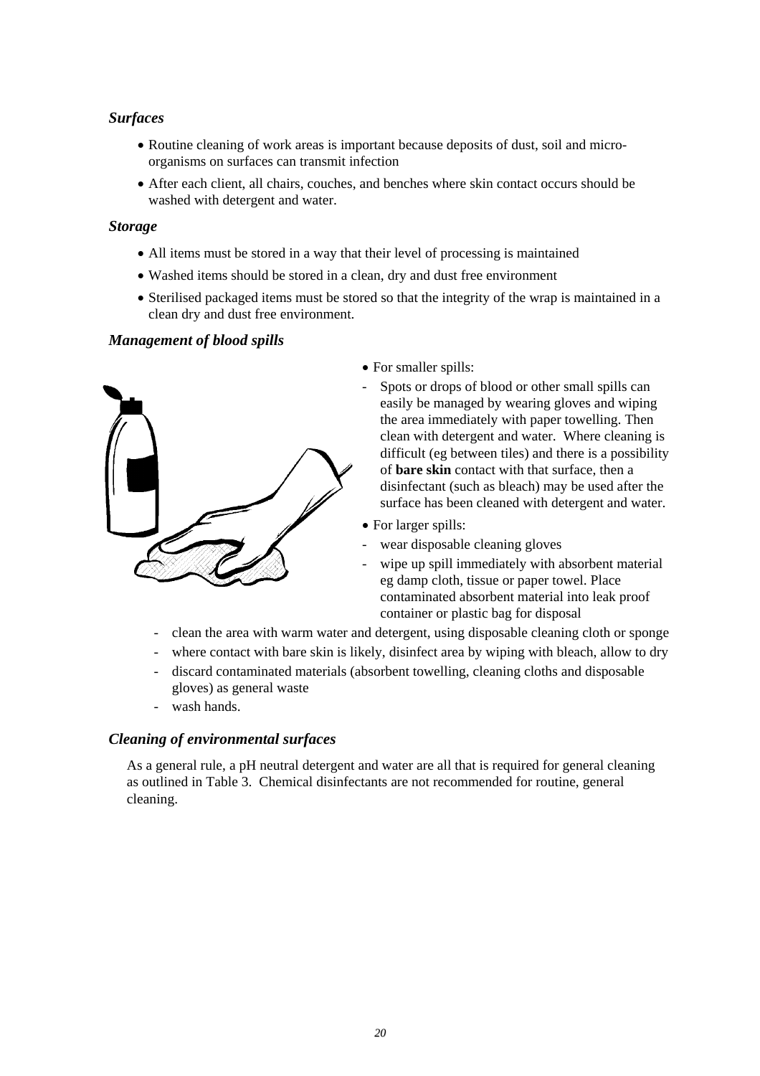# *Surfaces*

- Routine cleaning of work areas is important because deposits of dust, soil and microorganisms on surfaces can transmit infection
- After each client, all chairs, couches, and benches where skin contact occurs should be washed with detergent and water.

#### <span id="page-21-1"></span>*Storage*

- All items must be stored in a way that their level of processing is maintained
- Washed items should be stored in a clean, dry and dust free environment
- Sterilised packaged items must be stored so that the integrity of the wrap is maintained in a clean dry and dust free environment.

## <span id="page-21-2"></span>*Management of blood spills*



- For smaller spills:
- Spots or drops of blood or other small spills can easily be managed by wearing gloves and wiping the area immediately with paper towelling. Then clean with detergent and water. Where cleaning is difficult (eg between tiles) and there is a possibility of **bare skin** contact with that surface, then a disinfectant (such as bleach) may be used after the surface has been cleaned with detergent and water.
- For larger spills:
- wear disposable cleaning gloves
- wipe up spill immediately with absorbent material eg damp cloth, tissue or paper towel. Place contaminated absorbent material into leak proof container or plastic bag for disposal
- clean the area with warm water and detergent, using disposable cleaning cloth or sponge
- where contact with bare skin is likely, disinfect area by wiping with bleach, allow to dry
- discard contaminated materials (absorbent towelling, cleaning cloths and disposable gloves) as general waste
- wash hands.

#### <span id="page-21-3"></span>*Cleaning of environmental surfaces*

<span id="page-21-0"></span>As a general rule, a pH neutral detergent and water are all that is required for general cleaning as outlined in Table 3. Chemical disinfectants are not recommended for routine, general cleaning.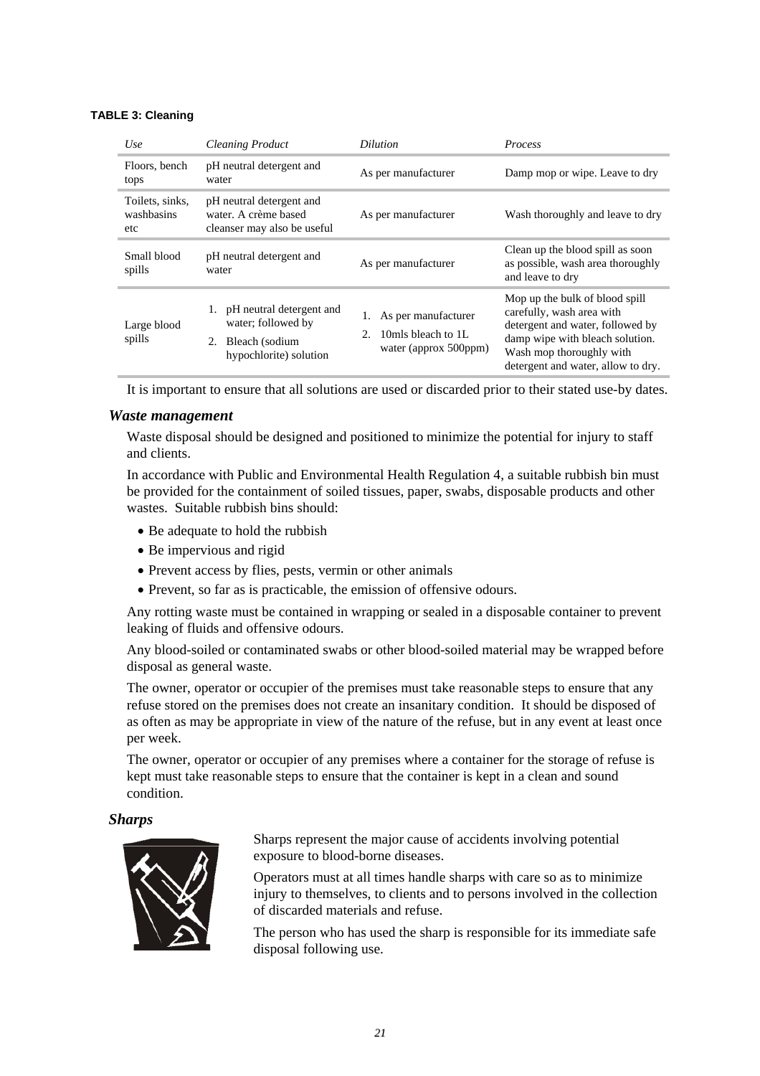#### **TABLE 3: Cleaning**

| Use<br><b>Cleaning Product</b>       |                                                                                                  | <i>Dilution</i>                                                                     | <b>Process</b>                                                                                                                                                                                       |  |  |
|--------------------------------------|--------------------------------------------------------------------------------------------------|-------------------------------------------------------------------------------------|------------------------------------------------------------------------------------------------------------------------------------------------------------------------------------------------------|--|--|
| Floors, bench<br>tops                | pH neutral detergent and<br>water                                                                | As per manufacturer                                                                 | Damp mop or wipe. Leave to dry                                                                                                                                                                       |  |  |
| Toilets, sinks.<br>washbasins<br>etc | pH neutral detergent and<br>water. A crème based<br>cleanser may also be useful                  | As per manufacturer                                                                 | Wash thoroughly and leave to dry                                                                                                                                                                     |  |  |
| Small blood<br>spills                | pH neutral detergent and<br>water                                                                | As per manufacturer                                                                 | Clean up the blood spill as soon<br>as possible, wash area thoroughly<br>and leave to dry                                                                                                            |  |  |
| Large blood<br>spills                | pH neutral detergent and<br>water; followed by<br>Bleach (sodium<br>2.<br>hypochlorite) solution | As per manufacturer<br>1.<br>10mls bleach to 1L<br>$2^{1}$<br>water (approx 500ppm) | Mop up the bulk of blood spill<br>carefully, wash area with<br>detergent and water, followed by<br>damp wipe with bleach solution.<br>Wash mop thoroughly with<br>detergent and water, allow to dry. |  |  |

It is important to ensure that all solutions are used or discarded prior to their stated use-by dates.

#### <span id="page-22-0"></span>*Waste management*

Waste disposal should be designed and positioned to minimize the potential for injury to staff and clients.

In accordance with Public and Environmental Health Regulation 4, a suitable rubbish bin must be provided for the containment of soiled tissues, paper, swabs, disposable products and other wastes. Suitable rubbish bins should:

- Be adequate to hold the rubbish
- Be impervious and rigid
- Prevent access by flies, pests, vermin or other animals
- Prevent, so far as is practicable, the emission of offensive odours.

Any rotting waste must be contained in wrapping or sealed in a disposable container to prevent leaking of fluids and offensive odours.

Any blood-soiled or contaminated swabs or other blood-soiled material may be wrapped before disposal as general waste.

The owner, operator or occupier of the premises must take reasonable steps to ensure that any refuse stored on the premises does not create an insanitary condition. It should be disposed of as often as may be appropriate in view of the nature of the refuse, but in any event at least once per week.

The owner, operator or occupier of any premises where a container for the storage of refuse is kept must take reasonable steps to ensure that the container is kept in a clean and sound condition.

#### <span id="page-22-1"></span>*Sharps*



Sharps represent the major cause of accidents involving potential exposure to blood-borne diseases.

Operators must at all times handle sharps with care so as to minimize injury to themselves, to clients and to persons involved in the collection of discarded materials and refuse.

The person who has used the sharp is responsible for its immediate safe disposal following use.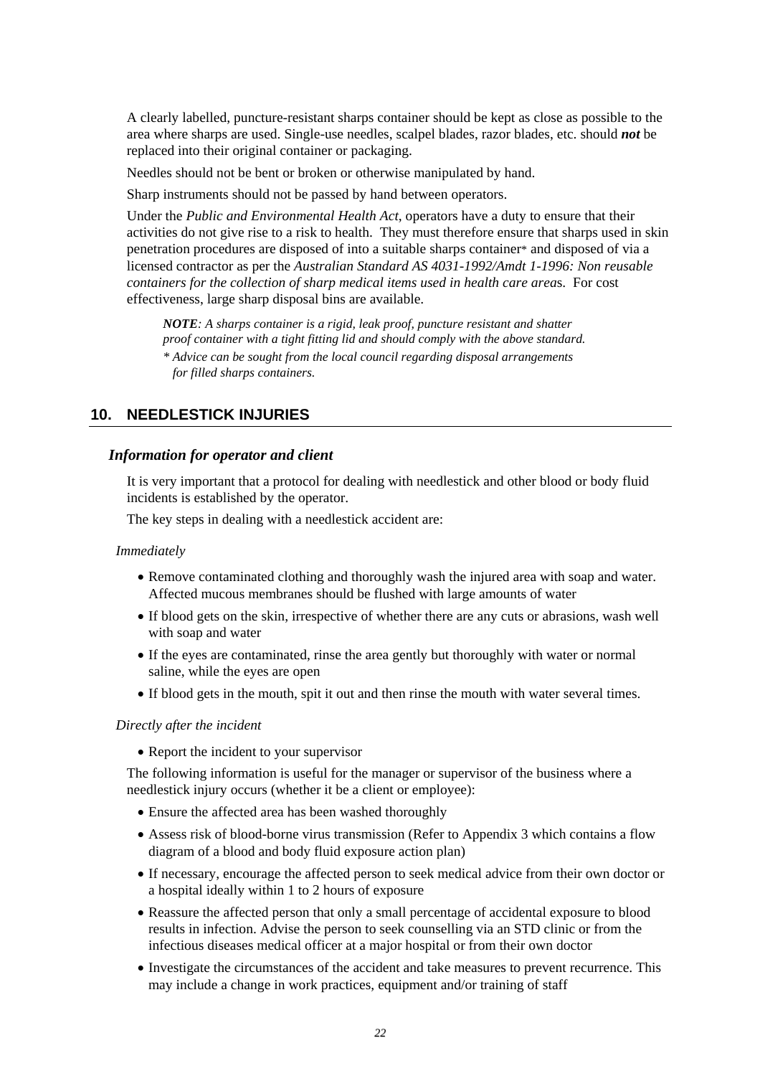A clearly labelled, puncture-resistant sharps container should be kept as close as possible to the area where sharps are used. Single-use needles, scalpel blades, razor blades, etc. should *not* be replaced into their original container or packaging.

Needles should not be bent or broken or otherwise manipulated by hand.

Sharp instruments should not be passed by hand between operators.

Under the *Public and Environmental Health Act*, operators have a duty to ensure that their activities do not give rise to a risk to health. They must therefore ensure that sharps used in skin penetration procedures are disposed of into a suitable sharps container\* and disposed of via a licensed contractor as per the *Australian Standard AS 4031-1992/Amdt 1-1996: Non reusable containers for the collection of sharp medical items used in health care area*s. For cost effectiveness, large sharp disposal bins are available.

*NOTE: A sharps container is a rigid, leak proof, puncture resistant and shatter proof container with a tight fitting lid and should comply with the above standard. \* Advice can be sought from the local council regarding disposal arrangements for filled sharps containers.* 

# <span id="page-23-0"></span>**10. NEEDLESTICK INJURIES**

#### <span id="page-23-1"></span>*Information for operator and client*

It is very important that a protocol for dealing with needlestick and other blood or body fluid incidents is established by the operator.

The key steps in dealing with a needlestick accident are:

#### *Immediately*

- Remove contaminated clothing and thoroughly wash the injured area with soap and water. Affected mucous membranes should be flushed with large amounts of water
- If blood gets on the skin, irrespective of whether there are any cuts or abrasions, wash well with soap and water
- If the eyes are contaminated, rinse the area gently but thoroughly with water or normal saline, while the eyes are open
- If blood gets in the mouth, spit it out and then rinse the mouth with water several times.

#### *Directly after the incident*

• Report the incident to your supervisor

The following information is useful for the manager or supervisor of the business where a needlestick injury occurs (whether it be a client or employee):

- Ensure the affected area has been washed thoroughly
- Assess risk of blood-borne virus transmission (Refer to Appendix 3 which contains a flow diagram of a blood and body fluid exposure action plan)
- If necessary, encourage the affected person to seek medical advice from their own doctor or a hospital ideally within 1 to 2 hours of exposure
- Reassure the affected person that only a small percentage of accidental exposure to blood results in infection. Advise the person to seek counselling via an STD clinic or from the infectious diseases medical officer at a major hospital or from their own doctor
- Investigate the circumstances of the accident and take measures to prevent recurrence. This may include a change in work practices, equipment and/or training of staff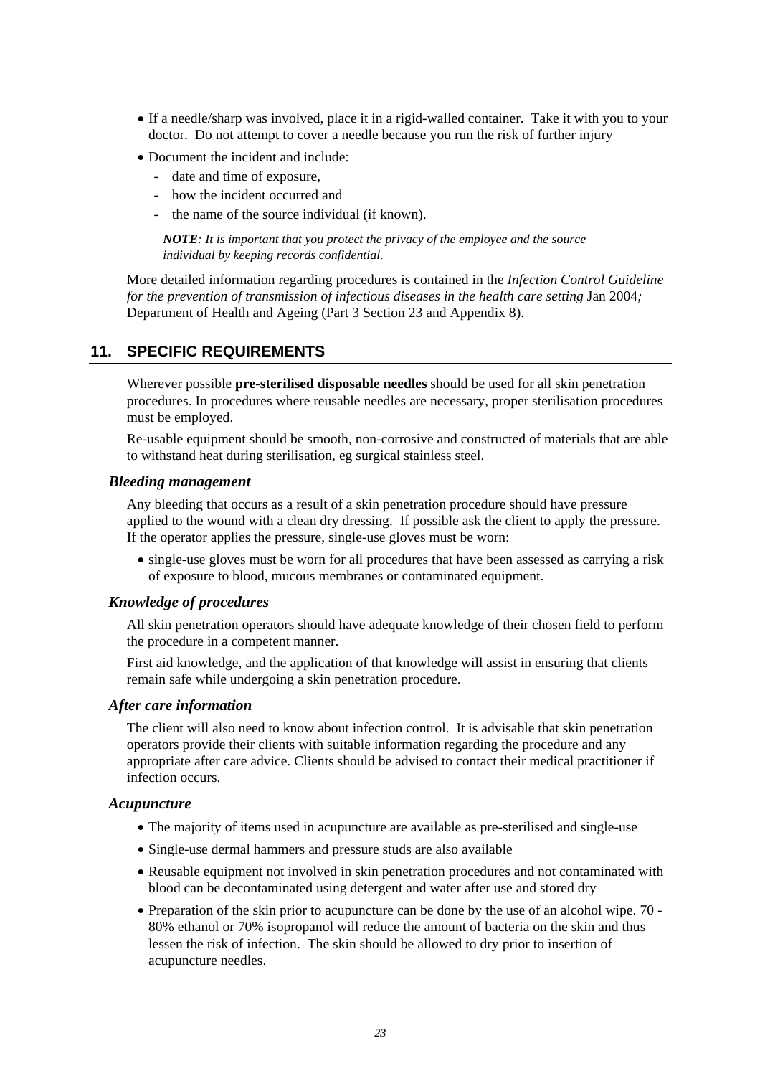- If a needle/sharp was involved, place it in a rigid-walled container. Take it with you to your doctor. Do not attempt to cover a needle because you run the risk of further injury
- Document the incident and include:
	- date and time of exposure,
	- how the incident occurred and
	- the name of the source individual (if known).

*NOTE: It is important that you protect the privacy of the employee and the source individual by keeping records confidential.* 

More detailed information regarding procedures is contained in the *Infection Control Guideline for the prevention of transmission of infectious diseases in the health care setting* Jan 2004*;* Department of Health and Ageing (Part 3 Section 23 and Appendix 8).

## <span id="page-24-0"></span>**11. SPECIFIC REQUIREMENTS**

Wherever possible **pre-sterilised disposable needles** should be used for all skin penetration procedures. In procedures where reusable needles are necessary, proper sterilisation procedures must be employed.

Re-usable equipment should be smooth, non-corrosive and constructed of materials that are able to withstand heat during sterilisation, eg surgical stainless steel.

#### <span id="page-24-1"></span>*Bleeding management*

Any bleeding that occurs as a result of a skin penetration procedure should have pressure applied to the wound with a clean dry dressing. If possible ask the client to apply the pressure. If the operator applies the pressure, single-use gloves must be worn:

• single-use gloves must be worn for all procedures that have been assessed as carrying a risk of exposure to blood, mucous membranes or contaminated equipment.

#### <span id="page-24-2"></span>*Knowledge of procedures*

All skin penetration operators should have adequate knowledge of their chosen field to perform the procedure in a competent manner.

First aid knowledge, and the application of that knowledge will assist in ensuring that clients remain safe while undergoing a skin penetration procedure.

#### <span id="page-24-3"></span>*After care information*

The client will also need to know about infection control. It is advisable that skin penetration operators provide their clients with suitable information regarding the procedure and any appropriate after care advice. Clients should be advised to contact their medical practitioner if infection occurs.

#### <span id="page-24-4"></span>*Acupuncture*

- The majority of items used in acupuncture are available as pre-sterilised and single-use
- Single-use dermal hammers and pressure studs are also available
- Reusable equipment not involved in skin penetration procedures and not contaminated with blood can be decontaminated using detergent and water after use and stored dry
- Preparation of the skin prior to acupuncture can be done by the use of an alcohol wipe. 70 80% ethanol or 70% isopropanol will reduce the amount of bacteria on the skin and thus lessen the risk of infection. The skin should be allowed to dry prior to insertion of acupuncture needles.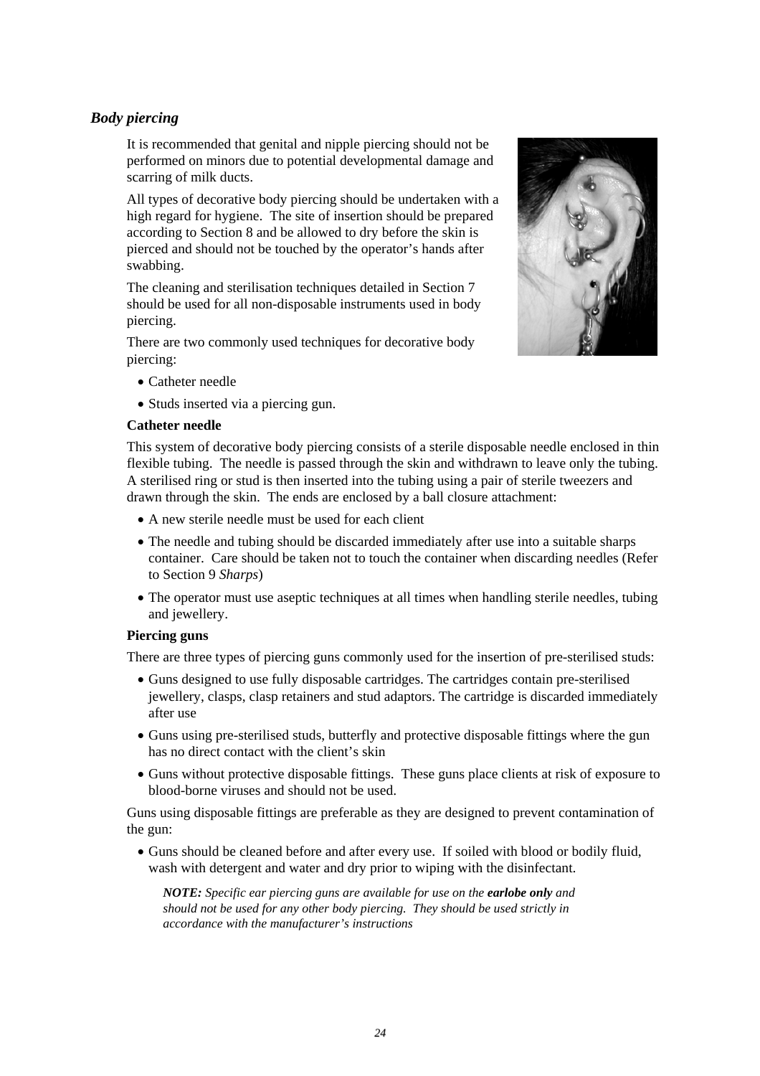# *Body piercing*

It is recommended that genital and nipple piercing should not be performed on minors due to potential developmental damage and scarring of milk ducts.

All types of decorative body piercing should be undertaken with a high regard for hygiene. The site of insertion should be prepared according to Section 8 and be allowed to dry before the skin is pierced and should not be touched by the operator's hands after swabbing.

The cleaning and sterilisation techniques detailed in Section 7 should be used for all non-disposable instruments used in body piercing.

There are two commonly used techniques for decorative body piercing:



- Catheter needle
- Studs inserted via a piercing gun.

#### **Catheter needle**

This system of decorative body piercing consists of a sterile disposable needle enclosed in thin flexible tubing. The needle is passed through the skin and withdrawn to leave only the tubing. A sterilised ring or stud is then inserted into the tubing using a pair of sterile tweezers and drawn through the skin. The ends are enclosed by a ball closure attachment:

- A new sterile needle must be used for each client
- The needle and tubing should be discarded immediately after use into a suitable sharps container. Care should be taken not to touch the container when discarding needles (Refer to Section 9 *Sharps*)
- The operator must use aseptic techniques at all times when handling sterile needles, tubing and jewellery.

#### **Piercing guns**

There are three types of piercing guns commonly used for the insertion of pre-sterilised studs:

- Guns designed to use fully disposable cartridges. The cartridges contain pre-sterilised jewellery, clasps, clasp retainers and stud adaptors. The cartridge is discarded immediately after use
- Guns using pre-sterilised studs, butterfly and protective disposable fittings where the gun has no direct contact with the client's skin
- Guns without protective disposable fittings. These guns place clients at risk of exposure to blood-borne viruses and should not be used.

Guns using disposable fittings are preferable as they are designed to prevent contamination of the gun:

• Guns should be cleaned before and after every use. If soiled with blood or bodily fluid, wash with detergent and water and dry prior to wiping with the disinfectant.

<span id="page-25-0"></span>*NOTE: Specific ear piercing guns are available for use on the <i>earlobe only* and *should not be used for any other body piercing. They should be used strictly in accordance with the manufacturer's instructions*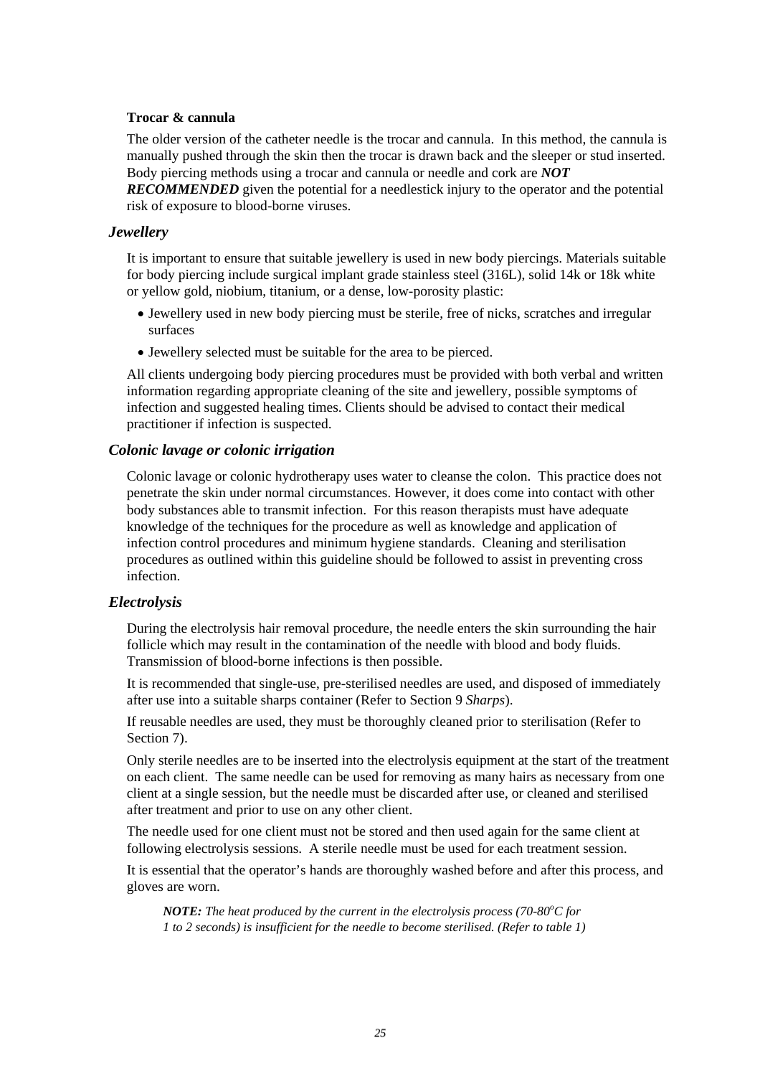#### **Trocar & cannula**

The older version of the catheter needle is the trocar and cannula. In this method, the cannula is manually pushed through the skin then the trocar is drawn back and the sleeper or stud inserted. Body piercing methods using a trocar and cannula or needle and cork are *NOT* 

*RECOMMENDED* given the potential for a needlestick injury to the operator and the potential risk of exposure to blood-borne viruses.

#### <span id="page-26-0"></span>*Jewellery*

It is important to ensure that suitable jewellery is used in new body piercings. Materials suitable for body piercing include surgical implant grade stainless steel (316L), solid 14k or 18k white or yellow gold, niobium, titanium, or a dense, low-porosity plastic:

- Jewellery used in new body piercing must be sterile, free of nicks, scratches and irregular surfaces
- Jewellery selected must be suitable for the area to be pierced.

All clients undergoing body piercing procedures must be provided with both verbal and written information regarding appropriate cleaning of the site and jewellery, possible symptoms of infection and suggested healing times. Clients should be advised to contact their medical practitioner if infection is suspected.

#### <span id="page-26-1"></span>*Colonic lavage or colonic irrigation*

Colonic lavage or colonic hydrotherapy uses water to cleanse the colon. This practice does not penetrate the skin under normal circumstances. However, it does come into contact with other body substances able to transmit infection. For this reason therapists must have adequate knowledge of the techniques for the procedure as well as knowledge and application of infection control procedures and minimum hygiene standards. Cleaning and sterilisation procedures as outlined within this guideline should be followed to assist in preventing cross infection.

#### <span id="page-26-2"></span>*Electrolysis*

During the electrolysis hair removal procedure, the needle enters the skin surrounding the hair follicle which may result in the contamination of the needle with blood and body fluids. Transmission of blood-borne infections is then possible.

It is recommended that single-use, pre-sterilised needles are used, and disposed of immediately after use into a suitable sharps container (Refer to Section 9 *Sharps*).

If reusable needles are used, they must be thoroughly cleaned prior to sterilisation (Refer to Section 7).

Only sterile needles are to be inserted into the electrolysis equipment at the start of the treatment on each client. The same needle can be used for removing as many hairs as necessary from one client at a single session, but the needle must be discarded after use, or cleaned and sterilised after treatment and prior to use on any other client.

The needle used for one client must not be stored and then used again for the same client at following electrolysis sessions. A sterile needle must be used for each treatment session.

It is essential that the operator's hands are thoroughly washed before and after this process, and gloves are worn.

*NOTE: The heat produced by the current in the electrolysis process (70-80<sup>o</sup>C for 1 to 2 seconds) is insufficient for the needle to become sterilised. (Refer to table 1)*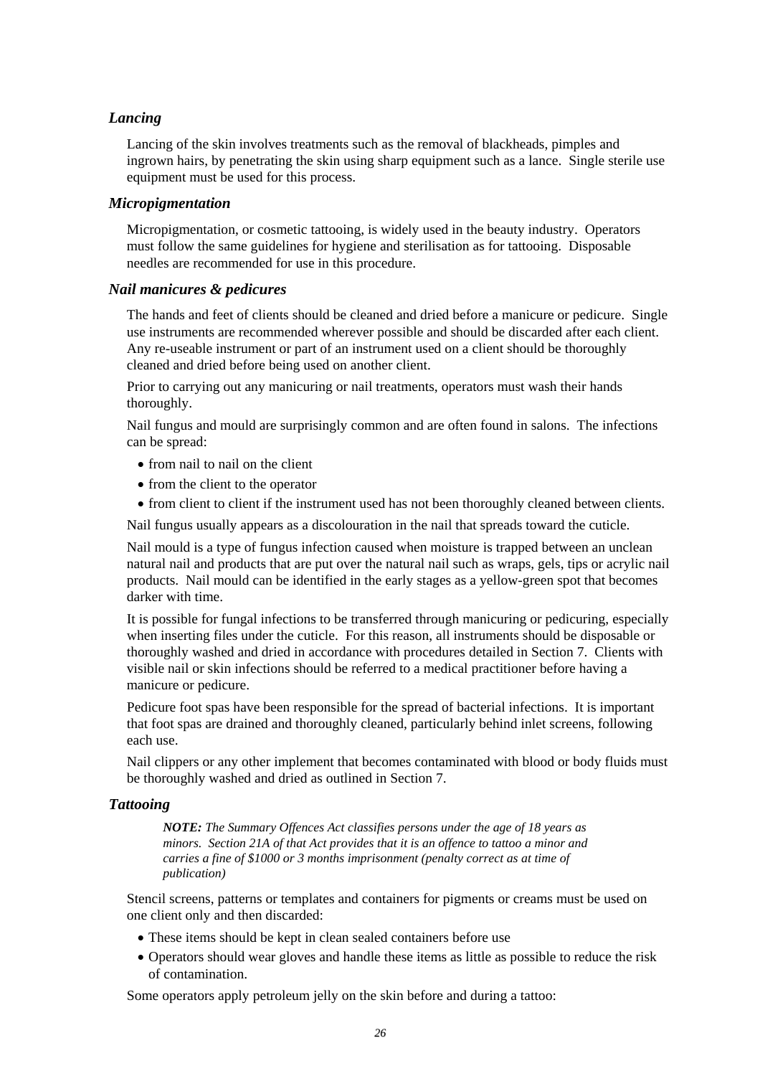#### *Lancing*

Lancing of the skin involves treatments such as the removal of blackheads, pimples and ingrown hairs, by penetrating the skin using sharp equipment such as a lance. Single sterile use equipment must be used for this process.

#### <span id="page-27-1"></span>*Micropigmentation*

Micropigmentation, or cosmetic tattooing, is widely used in the beauty industry. Operators must follow the same guidelines for hygiene and sterilisation as for tattooing. Disposable needles are recommended for use in this procedure.

#### <span id="page-27-2"></span>*Nail manicures & pedicures*

The hands and feet of clients should be cleaned and dried before a manicure or pedicure. Single use instruments are recommended wherever possible and should be discarded after each client. Any re-useable instrument or part of an instrument used on a client should be thoroughly cleaned and dried before being used on another client.

Prior to carrying out any manicuring or nail treatments, operators must wash their hands thoroughly.

Nail fungus and mould are surprisingly common and are often found in salons. The infections can be spread:

- from nail to nail on the client
- from the client to the operator
- from client to client if the instrument used has not been thoroughly cleaned between clients.

Nail fungus usually appears as a discolouration in the nail that spreads toward the cuticle.

Nail mould is a type of fungus infection caused when moisture is trapped between an unclean natural nail and products that are put over the natural nail such as wraps, gels, tips or acrylic nail products. Nail mould can be identified in the early stages as a yellow-green spot that becomes darker with time.

It is possible for fungal infections to be transferred through manicuring or pedicuring, especially when inserting files under the cuticle. For this reason, all instruments should be disposable or thoroughly washed and dried in accordance with procedures detailed in Section 7. Clients with visible nail or skin infections should be referred to a medical practitioner before having a manicure or pedicure.

Pedicure foot spas have been responsible for the spread of bacterial infections. It is important that foot spas are drained and thoroughly cleaned, particularly behind inlet screens, following each use.

Nail clippers or any other implement that becomes contaminated with blood or body fluids must be thoroughly washed and dried as outlined in Section 7.

## <span id="page-27-3"></span>*Tattooing*

*NOTE: The Summary Offences Act classifies persons under the age of 18 years as minors. Section 21A of that Act provides that it is an offence to tattoo a minor and carries a fine of \$1000 or 3 months imprisonment (penalty correct as at time of publication)* 

Stencil screens, patterns or templates and containers for pigments or creams must be used on one client only and then discarded:

- These items should be kept in clean sealed containers before use
- <span id="page-27-0"></span>• Operators should wear gloves and handle these items as little as possible to reduce the risk of contamination.

Some operators apply petroleum jelly on the skin before and during a tattoo: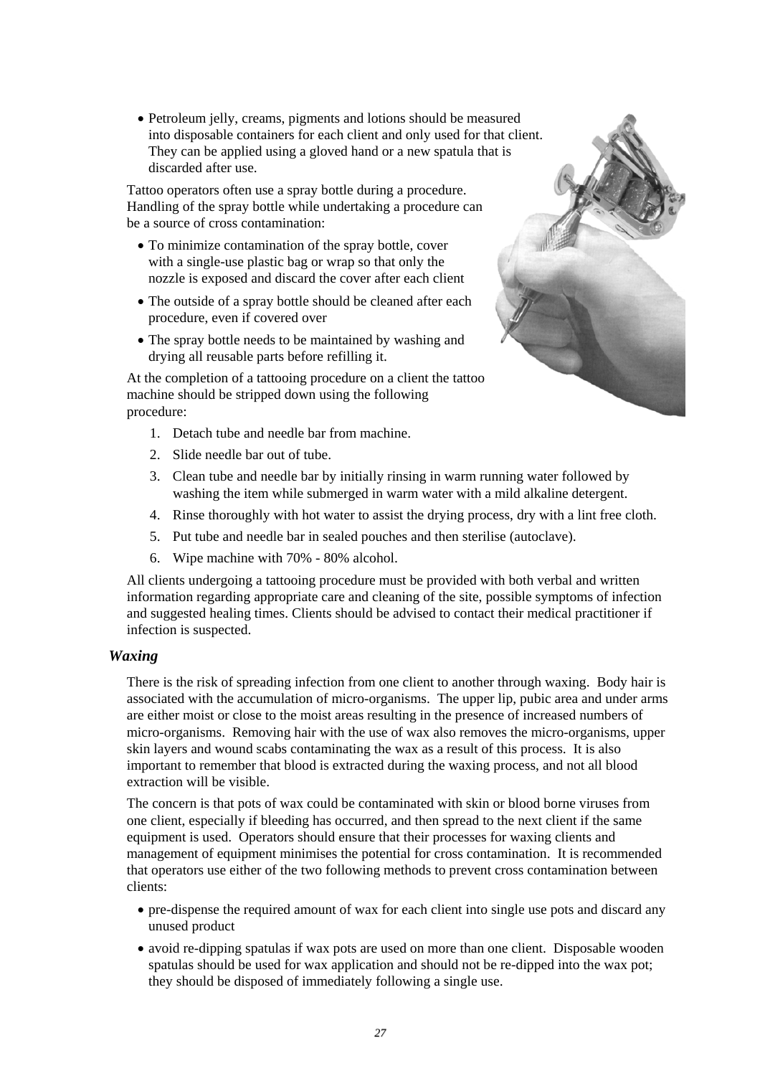• Petroleum jelly, creams, pigments and lotions should be measured into disposable containers for each client and only used for that client. They can be applied using a gloved hand or a new spatula that is discarded after use.

Tattoo operators often use a spray bottle during a procedure. Handling of the spray bottle while undertaking a procedure can be a source of cross contamination:

- To minimize contamination of the spray bottle, cover with a single-use plastic bag or wrap so that only the nozzle is exposed and discard the cover after each client
- The outside of a spray bottle should be cleaned after each procedure, even if covered over
- The spray bottle needs to be maintained by washing and drying all reusable parts before refilling it.

At the completion of a tattooing procedure on a client the tattoo machine should be stripped down using the following procedure:

- 1. Detach tube and needle bar from machine.
- 2. Slide needle bar out of tube.
- 3. Clean tube and needle bar by initially rinsing in warm running water followed by washing the item while submerged in warm water with a mild alkaline detergent.
- 4. Rinse thoroughly with hot water to assist the drying process, dry with a lint free cloth.
- 5. Put tube and needle bar in sealed pouches and then sterilise (autoclave).
- 6. Wipe machine with 70% 80% alcohol.

All clients undergoing a tattooing procedure must be provided with both verbal and written information regarding appropriate care and cleaning of the site, possible symptoms of infection and suggested healing times. Clients should be advised to contact their medical practitioner if infection is suspected.

# <span id="page-28-0"></span>*Waxing*

There is the risk of spreading infection from one client to another through waxing. Body hair is associated with the accumulation of micro-organisms. The upper lip, pubic area and under arms are either moist or close to the moist areas resulting in the presence of increased numbers of micro-organisms. Removing hair with the use of wax also removes the micro-organisms, upper skin layers and wound scabs contaminating the wax as a result of this process. It is also important to remember that blood is extracted during the waxing process, and not all blood extraction will be visible.

The concern is that pots of wax could be contaminated with skin or blood borne viruses from one client, especially if bleeding has occurred, and then spread to the next client if the same equipment is used. Operators should ensure that their processes for waxing clients and management of equipment minimises the potential for cross contamination. It is recommended that operators use either of the two following methods to prevent cross contamination between clients:

- pre-dispense the required amount of wax for each client into single use pots and discard any unused product
- avoid re-dipping spatulas if wax pots are used on more than one client. Disposable wooden spatulas should be used for wax application and should not be re-dipped into the wax pot; they should be disposed of immediately following a single use.

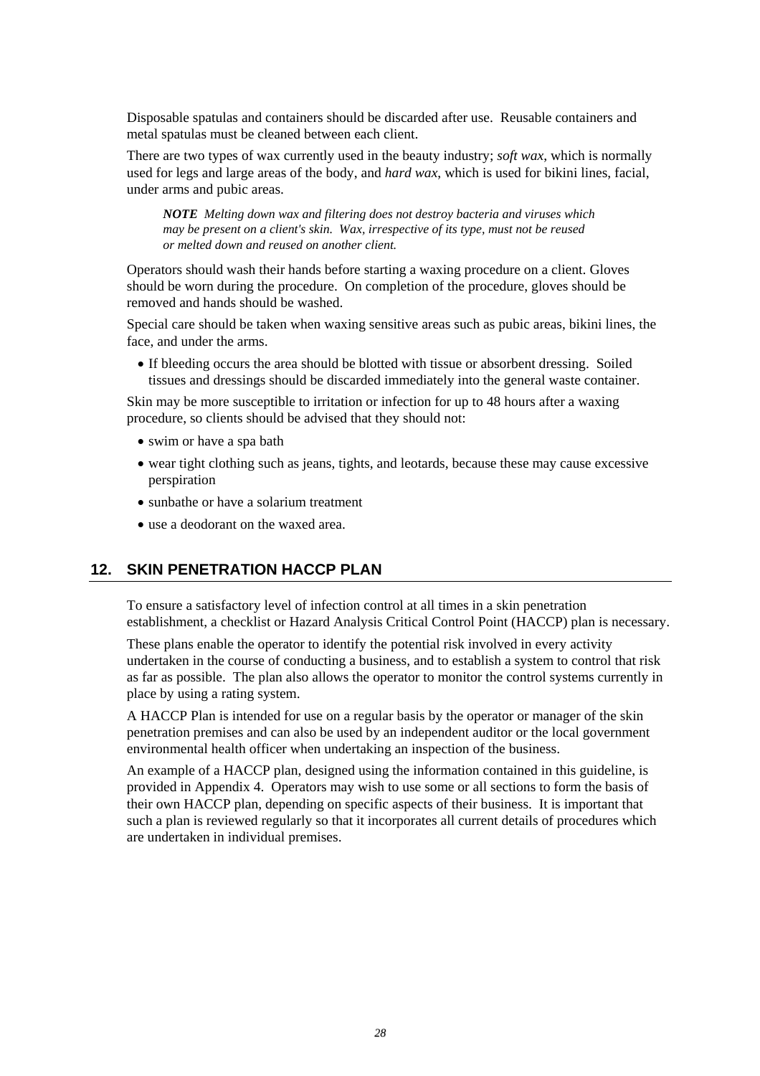Disposable spatulas and containers should be discarded after use. Reusable containers and metal spatulas must be cleaned between each client.

There are two types of wax currently used in the beauty industry; *soft wax*, which is normally used for legs and large areas of the body, and *hard wax*, which is used for bikini lines, facial, under arms and pubic areas.

*NOTE Melting down wax and filtering does not destroy bacteria and viruses which may be present on a client's skin. Wax, irrespective of its type, must not be reused or melted down and reused on another client.* 

Operators should wash their hands before starting a waxing procedure on a client. Gloves should be worn during the procedure. On completion of the procedure, gloves should be removed and hands should be washed.

Special care should be taken when waxing sensitive areas such as pubic areas, bikini lines, the face, and under the arms.

• If bleeding occurs the area should be blotted with tissue or absorbent dressing. Soiled tissues and dressings should be discarded immediately into the general waste container.

Skin may be more susceptible to irritation or infection for up to 48 hours after a waxing procedure, so clients should be advised that they should not:

- swim or have a spa bath
- wear tight clothing such as jeans, tights, and leotards, because these may cause excessive perspiration
- sunbathe or have a solarium treatment
- use a deodorant on the waxed area.

# <span id="page-29-0"></span>**12. SKIN PENETRATION HACCP PLAN**

To ensure a satisfactory level of infection control at all times in a skin penetration establishment, a checklist or Hazard Analysis Critical Control Point (HACCP) plan is necessary.

These plans enable the operator to identify the potential risk involved in every activity undertaken in the course of conducting a business, and to establish a system to control that risk as far as possible. The plan also allows the operator to monitor the control systems currently in place by using a rating system.

A HACCP Plan is intended for use on a regular basis by the operator or manager of the skin penetration premises and can also be used by an independent auditor or the local government environmental health officer when undertaking an inspection of the business.

An example of a HACCP plan, designed using the information contained in this guideline, is provided in Appendix 4. Operators may wish to use some or all sections to form the basis of their own HACCP plan, depending on specific aspects of their business. It is important that such a plan is reviewed regularly so that it incorporates all current details of procedures which are undertaken in individual premises.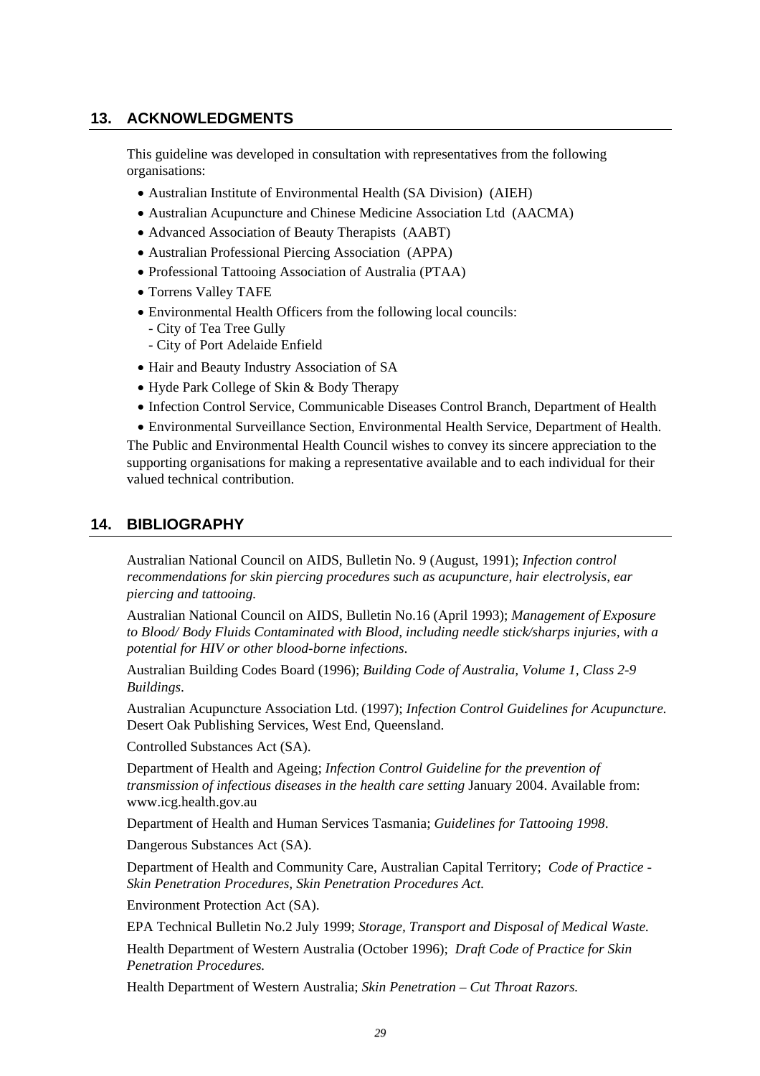# **13. ACKNOWLEDGMENTS**

This guideline was developed in consultation with representatives from the following organisations:

- Australian Institute of Environmental Health (SA Division) (AIEH)
- Australian Acupuncture and Chinese Medicine Association Ltd (AACMA)
- Advanced Association of Beauty Therapists (AABT)
- Australian Professional Piercing Association (APPA)
- Professional Tattooing Association of Australia (PTAA)
- Torrens Valley TAFE
- Environmental Health Officers from the following local councils:
	- City of Tea Tree Gully
	- City of Port Adelaide Enfield
- Hair and Beauty Industry Association of SA
- Hyde Park College of Skin & Body Therapy
- Infection Control Service, Communicable Diseases Control Branch, Department of Health

• Environmental Surveillance Section, Environmental Health Service, Department of Health. The Public and Environmental Health Council wishes to convey its sincere appreciation to the supporting organisations for making a representative available and to each individual for their valued technical contribution.

## <span id="page-30-1"></span>**14. BIBLIOGRAPHY**

Australian National Council on AIDS, Bulletin No. 9 (August, 1991); *Infection control recommendations for skin piercing procedures such as acupuncture, hair electrolysis, ear piercing and tattooing.*

Australian National Council on AIDS, Bulletin No.16 (April 1993); *Management of Exposure to Blood/ Body Fluids Contaminated with Blood, including needle stick/sharps injuries, with a potential for HIV or other blood-borne infections*.

Australian Building Codes Board (1996); *Building Code of Australia, Volume 1, Class 2-9 Buildings*.

Australian Acupuncture Association Ltd. (1997); *Infection Control Guidelines for Acupuncture.*  Desert Oak Publishing Services, West End, Queensland.

Controlled Substances Act (SA).

Department of Health and Ageing; *Infection Control Guideline for the prevention of transmission of infectious diseases in the health care setting* January 2004. Available from: www.icg.health.gov.au

Department of Health and Human Services Tasmania; *Guidelines for Tattooing 1998*.

Dangerous Substances Act (SA).

<span id="page-30-0"></span>Department of Health and Community Care, Australian Capital Territory; *Code of Practice - Skin Penetration Procedures, Skin Penetration Procedures Act.*

Environment Protection Act (SA).

EPA Technical Bulletin No.2 July 1999; *Storage, Transport and Disposal of Medical Waste.* 

Health Department of Western Australia (October 1996); *Draft Code of Practice for Skin Penetration Procedures.* 

Health Department of Western Australia; *Skin Penetration – Cut Throat Razors.*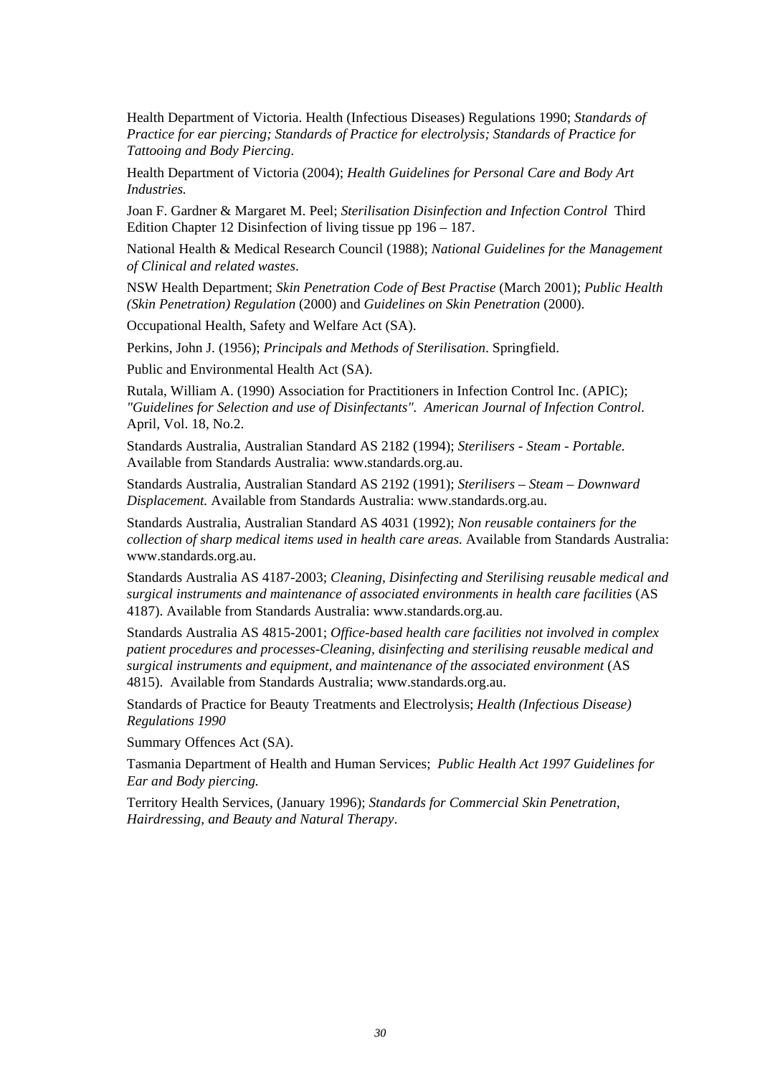Health Department of Victoria. Health (Infectious Diseases) Regulations 1990; *Standards of Practice for ear piercing; Standards of Practice for electrolysis; Standards of Practice for Tattooing and Body Piercing*.

Health Department of Victoria (2004); *Health Guidelines for Personal Care and Body Art Industries.*

Joan F. Gardner & Margaret M. Peel; *Sterilisation Disinfection and Infection Control* Third Edition Chapter 12 Disinfection of living tissue pp 196 – 187.

National Health & Medical Research Council (1988); *National Guidelines for the Management of Clinical and related wastes*.

NSW Health Department; *Skin Penetration Code of Best Practise* (March 2001); *Public Health (Skin Penetration) Regulation* (2000) and *Guidelines on Skin Penetration* (2000).

Occupational Health, Safety and Welfare Act (SA).

Perkins, John J. (1956); *Principals and Methods of Sterilisation*. Springfield.

Public and Environmental Health Act (SA).

Rutala, William A. (1990) Association for Practitioners in Infection Control Inc. (APIC); *"Guidelines for Selection and use of Disinfectants". American Journal of Infection Control*. April, Vol. 18, No.2.

Standards Australia, Australian Standard AS 2182 (1994); *Sterilisers - Steam - Portable.* Available from Standards Australia: www.standards.org.au.

Standards Australia, Australian Standard AS 2192 (1991); *Sterilisers – Steam – Downward Displacement.* Available from Standards Australia: www.standards.org.au.

Standards Australia, Australian Standard AS 4031 (1992); *Non reusable containers for the collection of sharp medical items used in health care areas.* Available from Standards Australia: [www.standards.org.au.](http://www.standards.org.au/) 

Standards Australia AS 4187-2003; *Cleaning, Disinfecting and Sterilising reusable medical and surgical instruments and maintenance of associated environments in health care facilities* (AS 4187). Available from Standards Australia: www.standards.org.au.

Standards Australia AS 4815-2001; *Office-based health care facilities not involved in complex patient procedures and processes-Cleaning, disinfecting and sterilising reusable medical and surgical instruments and equipment, and maintenance of the associated environment* (AS 4815). Available from Standards Australia; www.standards.org.au.

Standards of Practice for Beauty Treatments and Electrolysis; *Health (Infectious Disease) Regulations 1990*

Summary Offences Act (SA).

Tasmania Department of Health and Human Services; *Public Health Act 1997 Guidelines for Ear and Body piercing.* 

Territory Health Services, (January 1996); *Standards for Commercial Skin Penetration, Hairdressing, and Beauty and Natural Therapy*.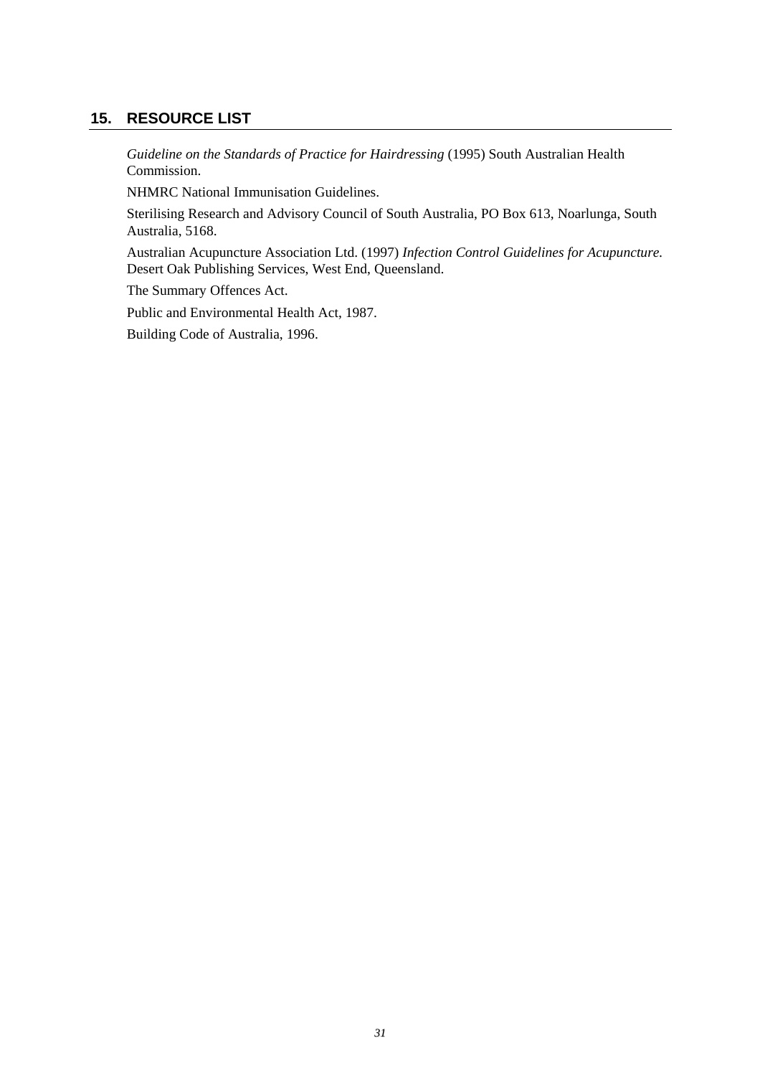# **15. RESOURCE LIST**

*Guideline on the Standards of Practice for Hairdressing* (1995) South Australian Health Commission.

NHMRC National Immunisation Guidelines.

Sterilising Research and Advisory Council of South Australia, PO Box 613, Noarlunga, South Australia, 5168.

Australian Acupuncture Association Ltd. (1997) *Infection Control Guidelines for Acupuncture.*  Desert Oak Publishing Services, West End, Queensland.

The Summary Offences Act.

Public and Environmental Health Act, 1987.

<span id="page-32-0"></span>Building Code of Australia, 1996.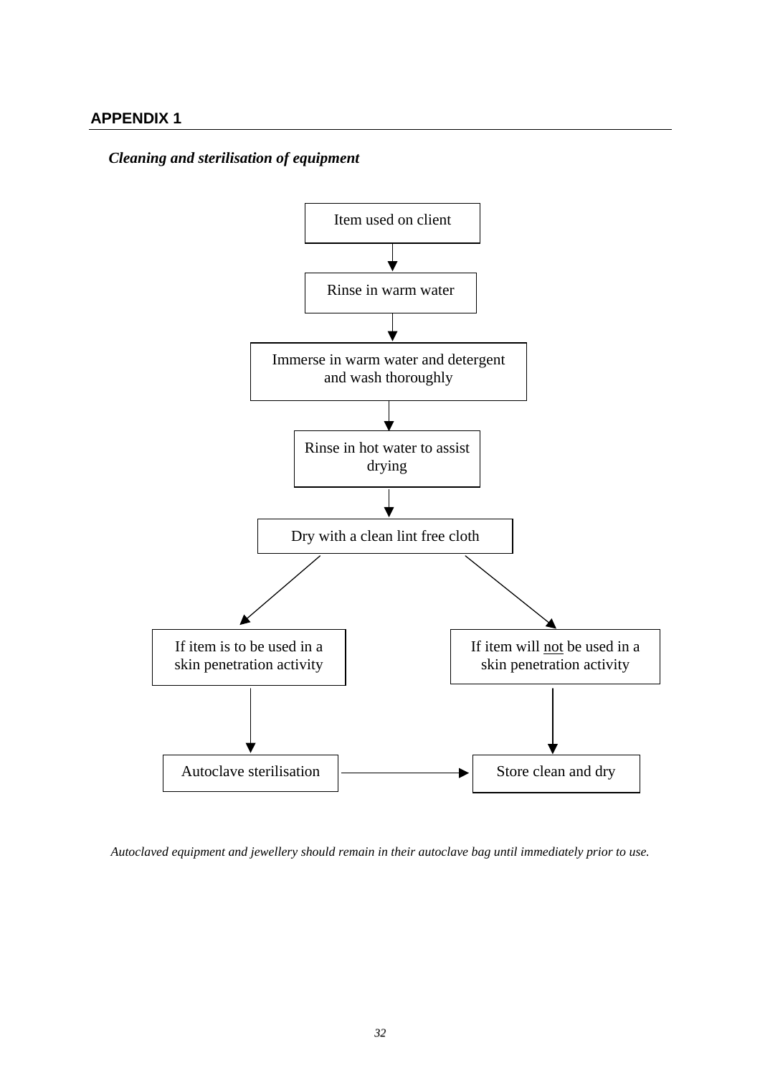# <span id="page-33-0"></span>**APPENDIX 1**

<span id="page-33-1"></span>*Cleaning and sterilisation of equipment* 



*Autoclaved equipment and jewellery should remain in their autoclave bag until immediately prior to use.*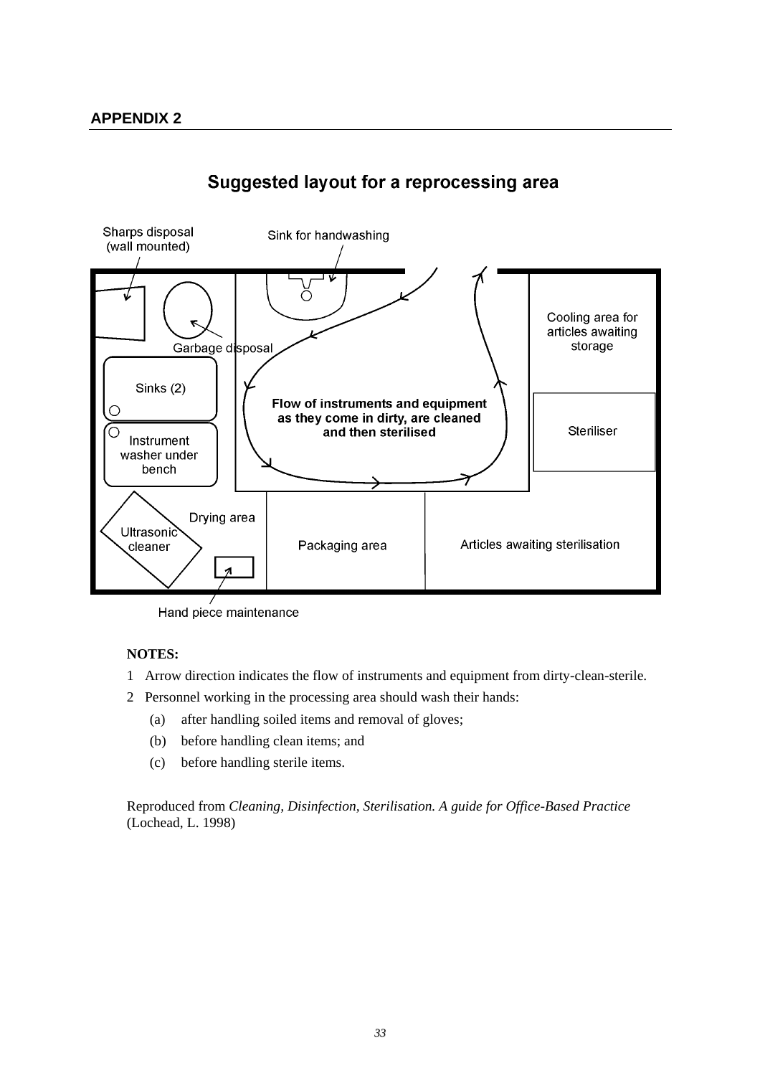<span id="page-34-1"></span><span id="page-34-0"></span>

# Suggested layout for a reprocessing area

Hand piece maintenance

# **NOTES:**

- 1 Arrow direction indicates the flow of instruments and equipment from dirty-clean-sterile.
- 2 Personnel working in the processing area should wash their hands:
	- (a) after handling soiled items and removal of gloves;
	- (b) before handling clean items; and
	- (c) before handling sterile items.

Reproduced from *Cleaning, Disinfection, Sterilisation. A guide for Office-Based Practice* (Lochead, L. 1998)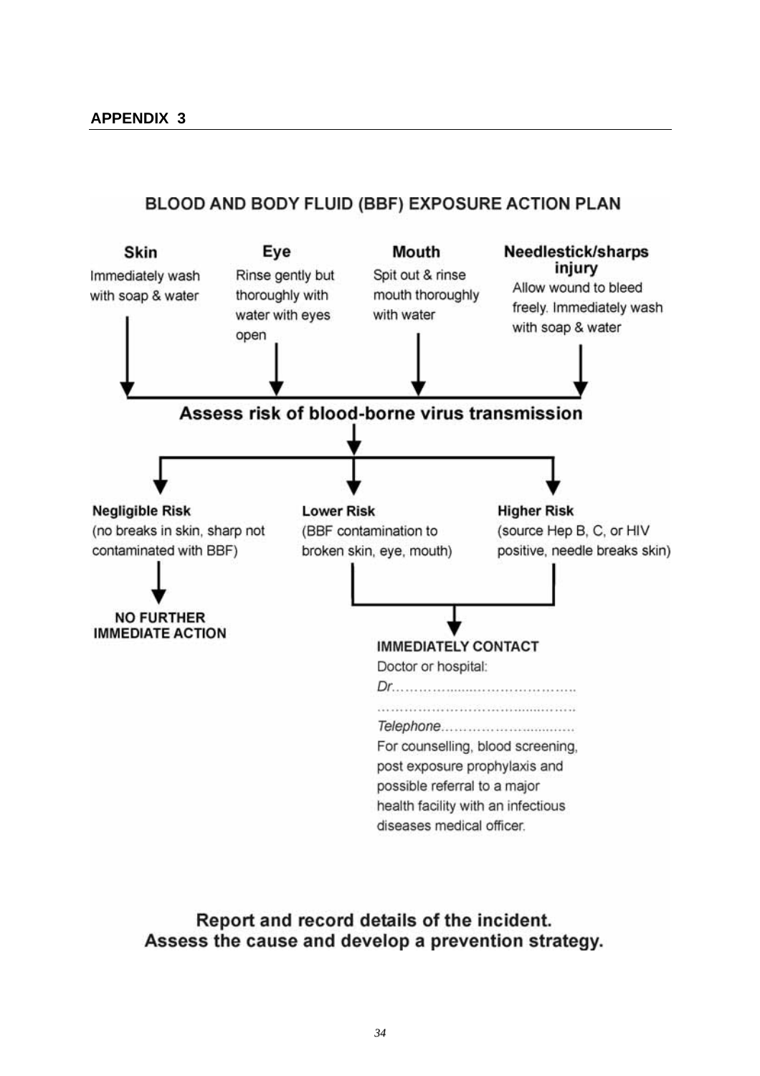<span id="page-35-1"></span><span id="page-35-0"></span>



Report and record details of the incident. Assess the cause and develop a prevention strategy.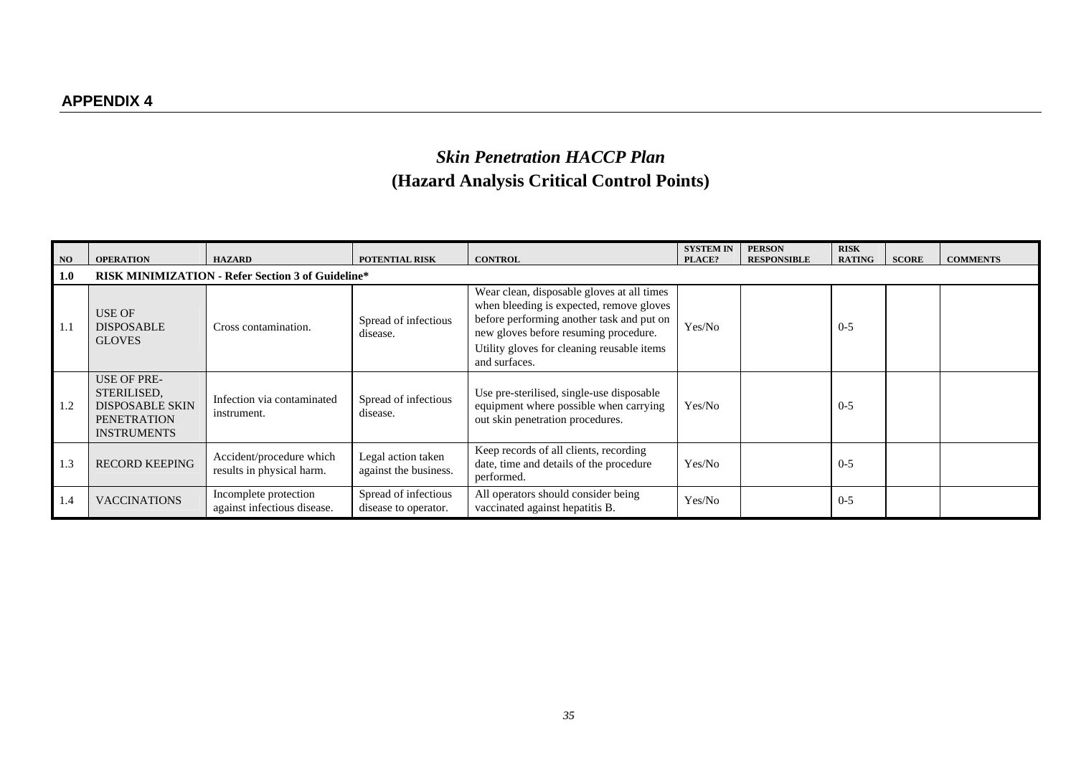# *Skin Penetration HACCP Plan*  **(Hazard Analysis Critical Control Points)**

<span id="page-36-1"></span><span id="page-36-0"></span>

| NO  | <b>OPERATION</b>                                                                                        | <b>HAZARD</b>                                            | POTENTIAL RISK                               | <b>CONTROL</b>                                                                                                                                                                                                                              | <b>SYSTEM IN</b><br>PLACE? | <b>PERSON</b><br><b>RESPONSIBLE</b> | <b>RISK</b><br><b>RATING</b> | <b>SCORE</b> | <b>COMMENTS</b> |
|-----|---------------------------------------------------------------------------------------------------------|----------------------------------------------------------|----------------------------------------------|---------------------------------------------------------------------------------------------------------------------------------------------------------------------------------------------------------------------------------------------|----------------------------|-------------------------------------|------------------------------|--------------|-----------------|
| 1.0 |                                                                                                         | <b>RISK MINIMIZATION - Refer Section 3 of Guideline*</b> |                                              |                                                                                                                                                                                                                                             |                            |                                     |                              |              |                 |
| 1.1 | USE OF<br><b>DISPOSABLE</b><br><b>GLOVES</b>                                                            | Cross contamination.                                     | Spread of infectious<br>disease.             | Wear clean, disposable gloves at all times<br>when bleeding is expected, remove gloves<br>before performing another task and put on<br>new gloves before resuming procedure.<br>Utility gloves for cleaning reusable items<br>and surfaces. | Yes/No                     |                                     | $0 - 5$                      |              |                 |
| 1.2 | <b>USE OF PRE-</b><br>STERILISED,<br><b>DISPOSABLE SKIN</b><br><b>PENETRATION</b><br><b>INSTRUMENTS</b> | Infection via contaminated<br>instrument.                | Spread of infectious<br>disease.             | Use pre-sterilised, single-use disposable<br>equipment where possible when carrying<br>out skin penetration procedures.                                                                                                                     | Yes/No                     |                                     | $0 - 5$                      |              |                 |
| 1.3 | <b>RECORD KEEPING</b>                                                                                   | Accident/procedure which<br>results in physical harm.    | Legal action taken<br>against the business.  | Keep records of all clients, recording<br>date, time and details of the procedure<br>performed.                                                                                                                                             | Yes/No                     |                                     | $0 - 5$                      |              |                 |
| 1.4 | <b>VACCINATIONS</b>                                                                                     | Incomplete protection<br>against infectious disease.     | Spread of infectious<br>disease to operator. | All operators should consider being<br>vaccinated against hepatitis B.                                                                                                                                                                      | Yes/No                     |                                     | $0 - 5$                      |              |                 |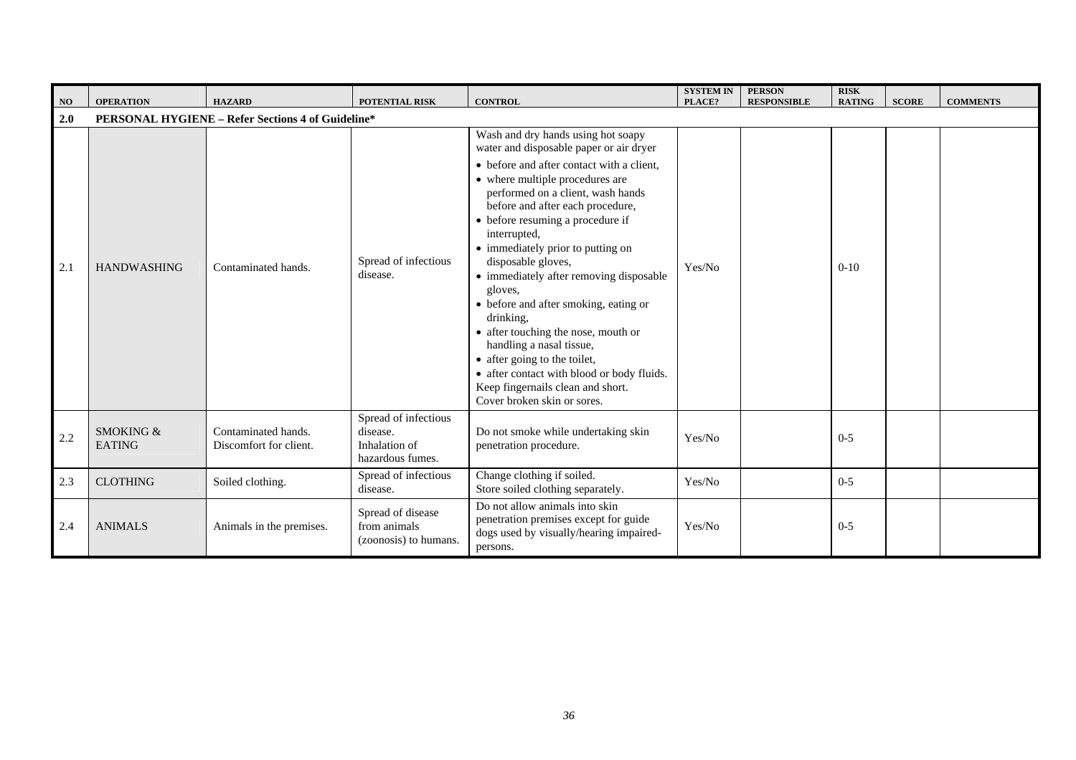| NO  | <b>OPERATION</b>                                  | <b>HAZARD</b>                                 | <b>POTENTIAL RISK</b>                                                 | <b>CONTROL</b>                                                                                                                                                                                                                                                                                                                                                                                                                                                                                                                                                                                        | <b>SYSTEM IN</b><br>PLACE? | <b>PERSON</b><br><b>RESPONSIBLE</b> | <b>RISK</b><br><b>RATING</b> | <b>SCORE</b> | <b>COMMENTS</b> |
|-----|---------------------------------------------------|-----------------------------------------------|-----------------------------------------------------------------------|-------------------------------------------------------------------------------------------------------------------------------------------------------------------------------------------------------------------------------------------------------------------------------------------------------------------------------------------------------------------------------------------------------------------------------------------------------------------------------------------------------------------------------------------------------------------------------------------------------|----------------------------|-------------------------------------|------------------------------|--------------|-----------------|
| 2.0 | PERSONAL HYGIENE - Refer Sections 4 of Guideline* |                                               |                                                                       |                                                                                                                                                                                                                                                                                                                                                                                                                                                                                                                                                                                                       |                            |                                     |                              |              |                 |
|     |                                                   |                                               |                                                                       | Wash and dry hands using hot soapy<br>water and disposable paper or air dryer                                                                                                                                                                                                                                                                                                                                                                                                                                                                                                                         |                            |                                     |                              |              |                 |
| 2.1 | <b>HANDWASHING</b>                                | Contaminated hands.                           | Spread of infectious<br>disease.                                      | • before and after contact with a client,<br>• where multiple procedures are<br>performed on a client, wash hands<br>before and after each procedure,<br>• before resuming a procedure if<br>interrupted,<br>• immediately prior to putting on<br>disposable gloves,<br>• immediately after removing disposable<br>gloves.<br>• before and after smoking, eating or<br>drinking,<br>• after touching the nose, mouth or<br>handling a nasal tissue,<br>• after going to the toilet,<br>• after contact with blood or body fluids.<br>Keep fingernails clean and short.<br>Cover broken skin or sores. | Yes/No                     |                                     | $0-10$                       |              |                 |
| 2.2 | SMOKING &<br><b>EATING</b>                        | Contaminated hands.<br>Discomfort for client. | Spread of infectious<br>disease.<br>Inhalation of<br>hazardous fumes. | Do not smoke while undertaking skin<br>penetration procedure.                                                                                                                                                                                                                                                                                                                                                                                                                                                                                                                                         | Yes/No                     |                                     | $0 - 5$                      |              |                 |
| 2.3 | <b>CLOTHING</b>                                   | Soiled clothing.                              | Spread of infectious<br>disease.                                      | Change clothing if soiled.<br>Store soiled clothing separately.                                                                                                                                                                                                                                                                                                                                                                                                                                                                                                                                       | Yes/No                     |                                     | $0 - 5$                      |              |                 |
| 2.4 | <b>ANIMALS</b>                                    | Animals in the premises.                      | Spread of disease<br>from animals<br>(zoonosis) to humans.            | Do not allow animals into skin<br>penetration premises except for guide<br>dogs used by visually/hearing impaired-<br>persons.                                                                                                                                                                                                                                                                                                                                                                                                                                                                        | Yes/No                     |                                     | $0 - 5$                      |              |                 |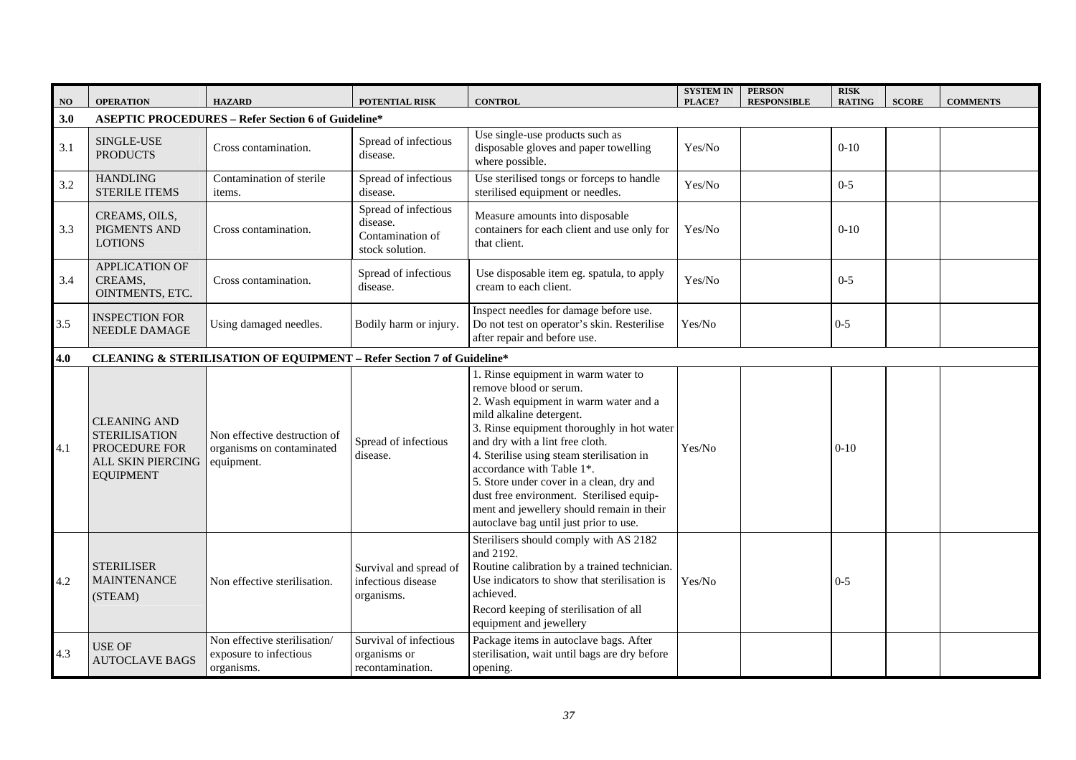| NO. | <b>OPERATION</b>                                                                                             | <b>HAZARD</b>                                                                    | POTENTIAL RISK                                                          | <b>CONTROL</b>                                                                                                                                                                                                                                                                                                                                                                                                                                                               | <b>SYSTEM IN</b><br>PLACE? | <b>PERSON</b><br><b>RESPONSIBLE</b> | <b>RISK</b><br><b>RATING</b> | <b>SCORE</b> | <b>COMMENTS</b> |  |
|-----|--------------------------------------------------------------------------------------------------------------|----------------------------------------------------------------------------------|-------------------------------------------------------------------------|------------------------------------------------------------------------------------------------------------------------------------------------------------------------------------------------------------------------------------------------------------------------------------------------------------------------------------------------------------------------------------------------------------------------------------------------------------------------------|----------------------------|-------------------------------------|------------------------------|--------------|-----------------|--|
| 3.0 | <b>ASEPTIC PROCEDURES - Refer Section 6 of Guideline*</b>                                                    |                                                                                  |                                                                         |                                                                                                                                                                                                                                                                                                                                                                                                                                                                              |                            |                                     |                              |              |                 |  |
| 3.1 | SINGLE-USE<br><b>PRODUCTS</b>                                                                                | Cross contamination.                                                             | Spread of infectious<br>disease.                                        | Use single-use products such as<br>disposable gloves and paper towelling<br>where possible.                                                                                                                                                                                                                                                                                                                                                                                  | Yes/No                     |                                     | $0-10$                       |              |                 |  |
| 3.2 | <b>HANDLING</b><br><b>STERILE ITEMS</b>                                                                      | Contamination of sterile<br>items.                                               | Spread of infectious<br>disease.                                        | Use sterilised tongs or forceps to handle<br>sterilised equipment or needles.                                                                                                                                                                                                                                                                                                                                                                                                | Yes/No                     |                                     | $0 - 5$                      |              |                 |  |
| 3.3 | CREAMS, OILS,<br>PIGMENTS AND<br><b>LOTIONS</b>                                                              | Cross contamination.                                                             | Spread of infectious<br>disease.<br>Contamination of<br>stock solution. | Measure amounts into disposable<br>containers for each client and use only for<br>that client.                                                                                                                                                                                                                                                                                                                                                                               | Yes/No                     |                                     | $0 - 10$                     |              |                 |  |
| 3.4 | <b>APPLICATION OF</b><br>CREAMS,<br>OINTMENTS, ETC.                                                          | Cross contamination.                                                             | Spread of infectious<br>disease.                                        | Use disposable item eg. spatula, to apply<br>cream to each client.                                                                                                                                                                                                                                                                                                                                                                                                           | Yes/No                     |                                     | $0 - 5$                      |              |                 |  |
| 3.5 | <b>INSPECTION FOR</b><br>NEEDLE DAMAGE                                                                       | Using damaged needles.                                                           | Bodily harm or injury.                                                  | Inspect needles for damage before use.<br>Do not test on operator's skin. Resterilise<br>after repair and before use.                                                                                                                                                                                                                                                                                                                                                        | Yes/No                     |                                     | $0 - 5$                      |              |                 |  |
| 4.0 |                                                                                                              | <b>CLEANING &amp; STERILISATION OF EQUIPMENT - Refer Section 7 of Guideline*</b> |                                                                         |                                                                                                                                                                                                                                                                                                                                                                                                                                                                              |                            |                                     |                              |              |                 |  |
| 4.1 | <b>CLEANING AND</b><br><b>STERILISATION</b><br><b>PROCEDURE FOR</b><br>ALL SKIN PIERCING<br><b>EQUIPMENT</b> | Non effective destruction of<br>organisms on contaminated<br>equipment.          | Spread of infectious<br>disease.                                        | 1. Rinse equipment in warm water to<br>remove blood or serum.<br>2. Wash equipment in warm water and a<br>mild alkaline detergent.<br>3. Rinse equipment thoroughly in hot water<br>and dry with a lint free cloth.<br>4. Sterilise using steam sterilisation in<br>accordance with Table 1*.<br>5. Store under cover in a clean, dry and<br>dust free environment. Sterilised equip-<br>ment and jewellery should remain in their<br>autoclave bag until just prior to use. | Yes/No                     |                                     | $0-10$                       |              |                 |  |
| 4.2 | <b>STERILISER</b><br><b>MAINTENANCE</b><br>(STEAM)                                                           | Non effective sterilisation.                                                     | Survival and spread of<br>infectious disease<br>organisms.              | Sterilisers should comply with AS 2182<br>and 2192.<br>Routine calibration by a trained technician.<br>Use indicators to show that sterilisation is<br>achieved.<br>Record keeping of sterilisation of all<br>equipment and jewellery                                                                                                                                                                                                                                        | Yes/No                     |                                     | $0 - 5$                      |              |                 |  |
| 4.3 | <b>USE OF</b><br><b>AUTOCLAVE BAGS</b>                                                                       | Non effective sterilisation/<br>exposure to infectious<br>organisms.             | Survival of infectious<br>organisms or<br>recontamination.              | Package items in autoclave bags. After<br>sterilisation, wait until bags are dry before<br>opening.                                                                                                                                                                                                                                                                                                                                                                          |                            |                                     |                              |              |                 |  |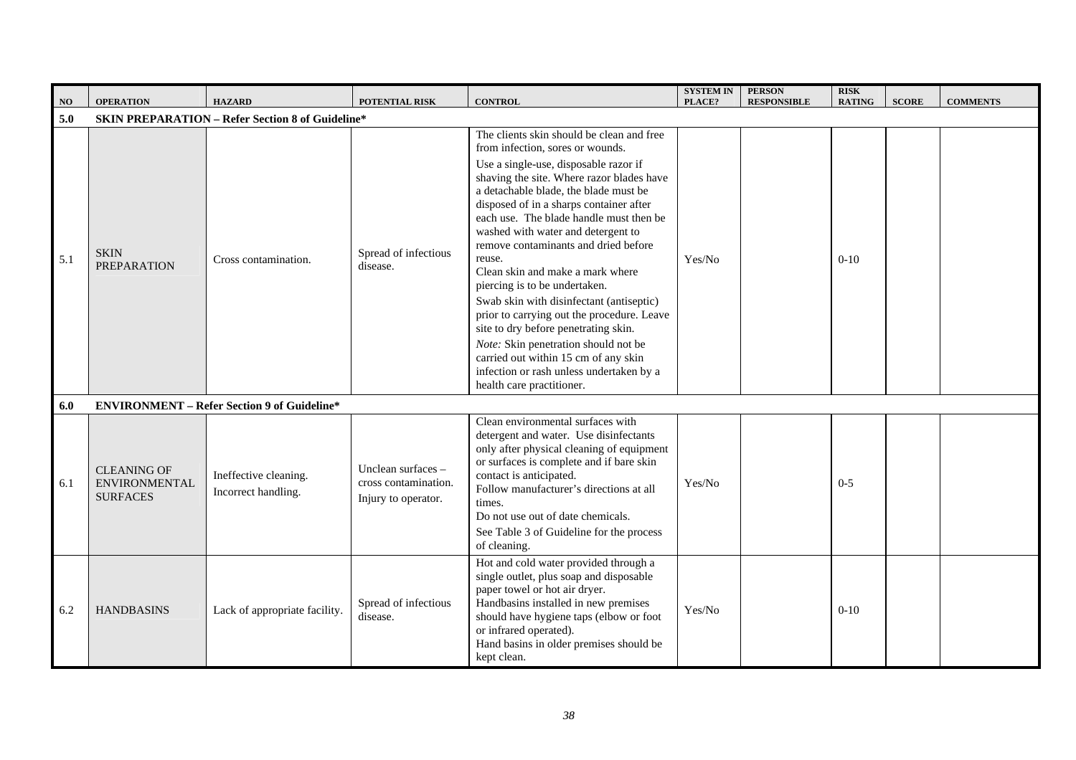| NO  | <b>OPERATION</b>                                              | <b>HAZARD</b>                                           | <b>POTENTIAL RISK</b>                                             | <b>CONTROL</b>                                                                                                                                                                                                                                                                                                                                                                                                                                                                                                                                                                                                                                                                                                                                             | <b>SYSTEM IN</b><br>PLACE? | <b>PERSON</b><br><b>RESPONSIBLE</b> | <b>RISK</b><br><b>RATING</b> | <b>SCORE</b> | <b>COMMENTS</b> |
|-----|---------------------------------------------------------------|---------------------------------------------------------|-------------------------------------------------------------------|------------------------------------------------------------------------------------------------------------------------------------------------------------------------------------------------------------------------------------------------------------------------------------------------------------------------------------------------------------------------------------------------------------------------------------------------------------------------------------------------------------------------------------------------------------------------------------------------------------------------------------------------------------------------------------------------------------------------------------------------------------|----------------------------|-------------------------------------|------------------------------|--------------|-----------------|
| 5.0 |                                                               | <b>SKIN PREPARATION - Refer Section 8 of Guideline*</b> |                                                                   |                                                                                                                                                                                                                                                                                                                                                                                                                                                                                                                                                                                                                                                                                                                                                            |                            |                                     |                              |              |                 |
| 5.1 | <b>SKIN</b><br><b>PREPARATION</b>                             | Cross contamination.                                    | Spread of infectious<br>disease.                                  | The clients skin should be clean and free<br>from infection, sores or wounds.<br>Use a single-use, disposable razor if<br>shaving the site. Where razor blades have<br>a detachable blade, the blade must be<br>disposed of in a sharps container after<br>each use. The blade handle must then be<br>washed with water and detergent to<br>remove contaminants and dried before<br>reuse.<br>Clean skin and make a mark where<br>piercing is to be undertaken.<br>Swab skin with disinfectant (antiseptic)<br>prior to carrying out the procedure. Leave<br>site to dry before penetrating skin.<br>Note: Skin penetration should not be<br>carried out within 15 cm of any skin<br>infection or rash unless undertaken by a<br>health care practitioner. | Yes/No                     |                                     | $0-10$                       |              |                 |
| 6.0 |                                                               | <b>ENVIRONMENT - Refer Section 9 of Guideline*</b>      |                                                                   |                                                                                                                                                                                                                                                                                                                                                                                                                                                                                                                                                                                                                                                                                                                                                            |                            |                                     |                              |              |                 |
| 6.1 | <b>CLEANING OF</b><br><b>ENVIRONMENTAL</b><br><b>SURFACES</b> | Ineffective cleaning.<br>Incorrect handling.            | Unclean surfaces -<br>cross contamination.<br>Injury to operator. | Clean environmental surfaces with<br>detergent and water. Use disinfectants<br>only after physical cleaning of equipment<br>or surfaces is complete and if bare skin<br>contact is anticipated.<br>Follow manufacturer's directions at all<br>times.<br>Do not use out of date chemicals.<br>See Table 3 of Guideline for the process<br>of cleaning.                                                                                                                                                                                                                                                                                                                                                                                                      | Yes/No                     |                                     | $0 - 5$                      |              |                 |
| 6.2 | <b>HANDBASINS</b>                                             | Lack of appropriate facility.                           | Spread of infectious<br>disease.                                  | Hot and cold water provided through a<br>single outlet, plus soap and disposable<br>paper towel or hot air dryer.<br>Handbasins installed in new premises<br>should have hygiene taps (elbow or foot<br>or infrared operated).<br>Hand basins in older premises should be<br>kept clean.                                                                                                                                                                                                                                                                                                                                                                                                                                                                   | Yes/No                     |                                     | $0 - 10$                     |              |                 |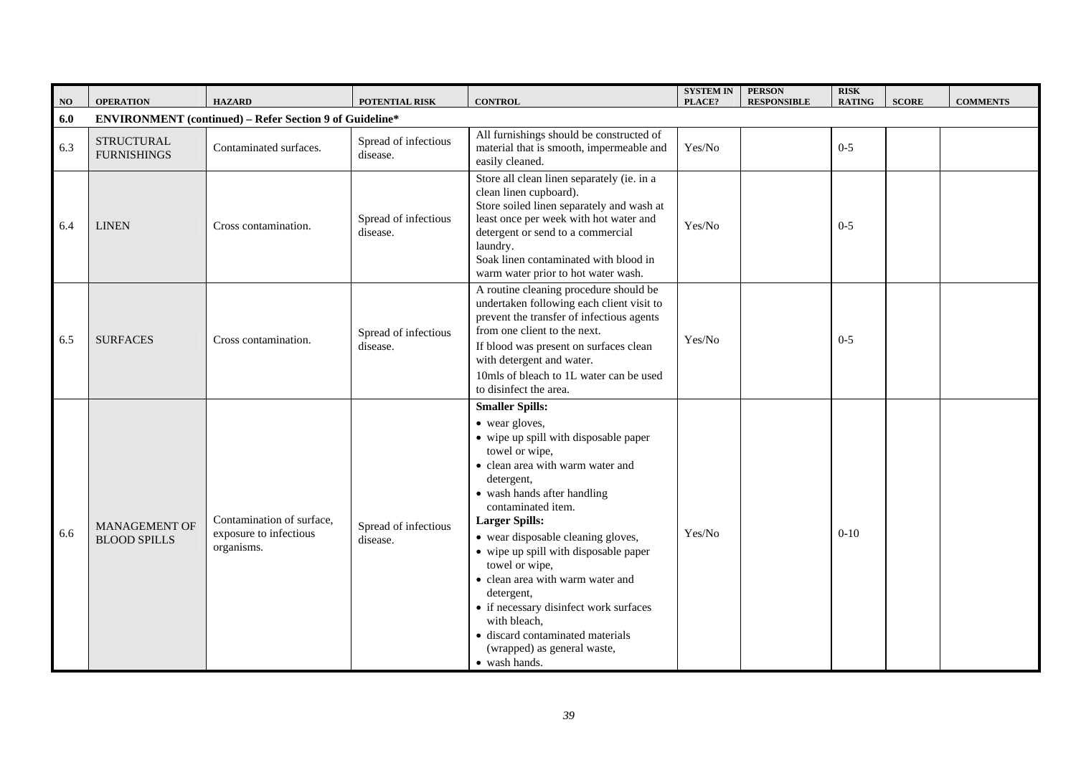| $\bf NO$ | <b>OPERATION</b>                                               | <b>HAZARD</b>                                                     | POTENTIAL RISK                   | <b>CONTROL</b>                                                                                                                                                                                                                                                                                                                                                                                                                                                                                                                       | <b>SYSTEM IN</b><br>PLACE?       | <b>PERSON</b><br><b>RESPONSIBLE</b> | <b>RISK</b><br><b>RATING</b> | <b>SCORE</b> | <b>COMMENTS</b> |
|----------|----------------------------------------------------------------|-------------------------------------------------------------------|----------------------------------|--------------------------------------------------------------------------------------------------------------------------------------------------------------------------------------------------------------------------------------------------------------------------------------------------------------------------------------------------------------------------------------------------------------------------------------------------------------------------------------------------------------------------------------|----------------------------------|-------------------------------------|------------------------------|--------------|-----------------|
| 6.0      | <b>ENVIRONMENT</b> (continued) - Refer Section 9 of Guideline* |                                                                   |                                  |                                                                                                                                                                                                                                                                                                                                                                                                                                                                                                                                      |                                  |                                     |                              |              |                 |
| 6.3      | <b>STRUCTURAL</b><br><b>FURNISHINGS</b>                        | Contaminated surfaces.                                            | Spread of infectious<br>disease. | All furnishings should be constructed of<br>material that is smooth, impermeable and<br>easily cleaned.                                                                                                                                                                                                                                                                                                                                                                                                                              | $\operatorname{Yes}/\mathrm{No}$ |                                     | $0 - 5$                      |              |                 |
| 6.4      | <b>LINEN</b>                                                   | Cross contamination.                                              | Spread of infectious<br>disease. | Store all clean linen separately (ie. in a<br>clean linen cupboard).<br>Store soiled linen separately and wash at<br>least once per week with hot water and<br>detergent or send to a commercial<br>laundry.<br>Soak linen contaminated with blood in<br>warm water prior to hot water wash.                                                                                                                                                                                                                                         | Yes/No                           |                                     | $0 - 5$                      |              |                 |
| 6.5      | <b>SURFACES</b>                                                | Cross contamination.                                              | Spread of infectious<br>disease. | A routine cleaning procedure should be<br>undertaken following each client visit to<br>prevent the transfer of infectious agents<br>from one client to the next.<br>If blood was present on surfaces clean<br>with detergent and water.<br>10mls of bleach to 1L water can be used<br>to disinfect the area.                                                                                                                                                                                                                         | Yes/No                           |                                     | $0 - 5$                      |              |                 |
| 6.6      | MANAGEMENT OF<br><b>BLOOD SPILLS</b>                           | Contamination of surface,<br>exposure to infectious<br>organisms. | Spread of infectious<br>disease. | <b>Smaller Spills:</b><br>• wear gloves,<br>• wipe up spill with disposable paper<br>towel or wipe,<br>• clean area with warm water and<br>detergent,<br>• wash hands after handling<br>contaminated item.<br><b>Larger Spills:</b><br>• wear disposable cleaning gloves,<br>• wipe up spill with disposable paper<br>towel or wipe,<br>• clean area with warm water and<br>detergent,<br>• if necessary disinfect work surfaces<br>with bleach,<br>· discard contaminated materials<br>(wrapped) as general waste,<br>• wash hands. | Yes/No                           |                                     | $0 - 10$                     |              |                 |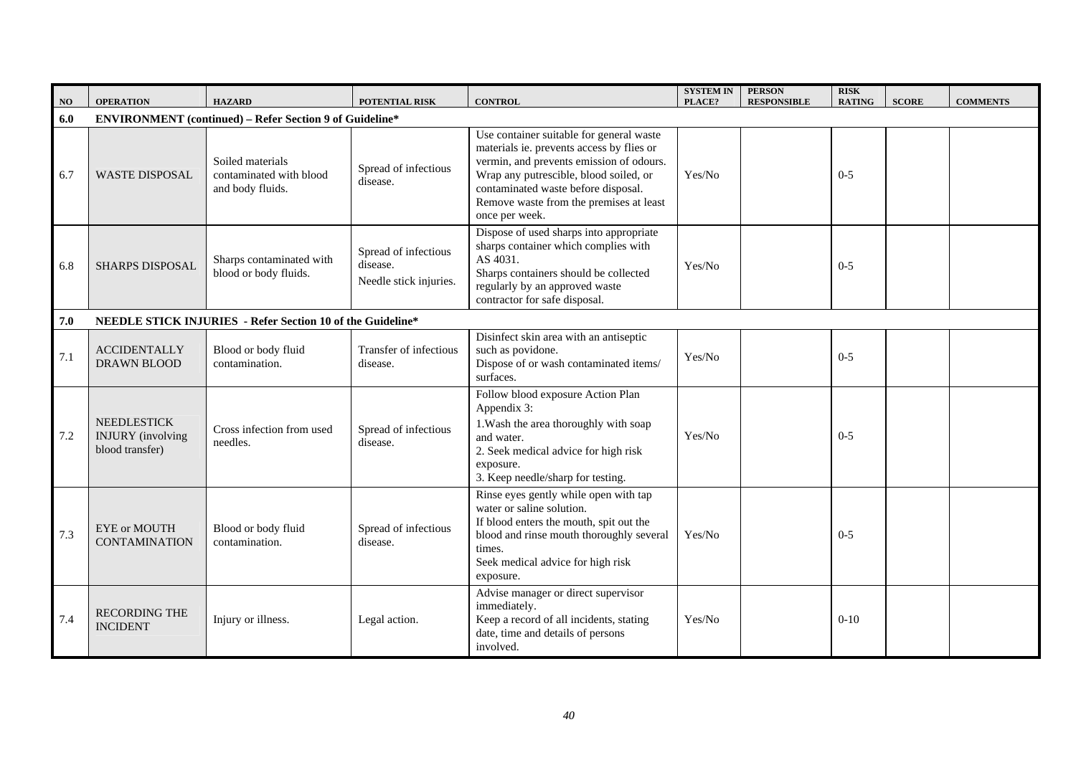| NO  | <b>OPERATION</b>                                                  | <b>HAZARD</b>                                                   | POTENTIAL RISK                                             | <b>CONTROL</b>                                                                                                                                                                                                                                                                  | <b>SYSTEM IN</b><br>PLACE? | <b>PERSON</b><br><b>RESPONSIBLE</b> | <b>RISK</b><br><b>RATING</b> | <b>SCORE</b> | <b>COMMENTS</b> |
|-----|-------------------------------------------------------------------|-----------------------------------------------------------------|------------------------------------------------------------|---------------------------------------------------------------------------------------------------------------------------------------------------------------------------------------------------------------------------------------------------------------------------------|----------------------------|-------------------------------------|------------------------------|--------------|-----------------|
| 6.0 | <b>ENVIRONMENT</b> (continued) – Refer Section 9 of Guideline*    |                                                                 |                                                            |                                                                                                                                                                                                                                                                                 |                            |                                     |                              |              |                 |
| 6.7 | <b>WASTE DISPOSAL</b>                                             | Soiled materials<br>contaminated with blood<br>and body fluids. | Spread of infectious<br>disease.                           | Use container suitable for general waste<br>materials ie. prevents access by flies or<br>vermin, and prevents emission of odours.<br>Wrap any putrescible, blood soiled, or<br>contaminated waste before disposal.<br>Remove waste from the premises at least<br>once per week. | Yes/No                     |                                     | $0 - 5$                      |              |                 |
| 6.8 | <b>SHARPS DISPOSAL</b>                                            | Sharps contaminated with<br>blood or body fluids.               | Spread of infectious<br>disease.<br>Needle stick injuries. | Dispose of used sharps into appropriate<br>sharps container which complies with<br>AS 4031.<br>Sharps containers should be collected<br>regularly by an approved waste<br>contractor for safe disposal.                                                                         | Yes/No                     |                                     | $0 - 5$                      |              |                 |
| 7.0 |                                                                   | NEEDLE STICK INJURIES - Refer Section 10 of the Guideline*      |                                                            |                                                                                                                                                                                                                                                                                 |                            |                                     |                              |              |                 |
| 7.1 | <b>ACCIDENTALLY</b><br>DRAWN BLOOD                                | Blood or body fluid<br>contamination.                           | Transfer of infectious<br>disease.                         | Disinfect skin area with an antiseptic<br>such as povidone.<br>Dispose of or wash contaminated items/<br>surfaces.                                                                                                                                                              | Yes/No                     |                                     | $0 - 5$                      |              |                 |
| 7.2 | <b>NEEDLESTICK</b><br><b>INJURY</b> (involving<br>blood transfer) | Cross infection from used<br>needles.                           | Spread of infectious<br>disease.                           | Follow blood exposure Action Plan<br>Appendix 3:<br>1. Wash the area thoroughly with soap<br>and water.<br>2. Seek medical advice for high risk<br>exposure.<br>3. Keep needle/sharp for testing.                                                                               | Yes/No                     |                                     | $0 - 5$                      |              |                 |
| 7.3 | <b>EYE</b> or MOUTH<br><b>CONTAMINATION</b>                       | Blood or body fluid<br>contamination.                           | Spread of infectious<br>disease.                           | Rinse eyes gently while open with tap<br>water or saline solution.<br>If blood enters the mouth, spit out the<br>blood and rinse mouth thoroughly several<br>times.<br>Seek medical advice for high risk<br>exposure.                                                           | Yes/No                     |                                     | $0 - 5$                      |              |                 |
| 7.4 | <b>RECORDING THE</b><br><b>INCIDENT</b>                           | Injury or illness.                                              | Legal action.                                              | Advise manager or direct supervisor<br>immediately.<br>Keep a record of all incidents, stating<br>date, time and details of persons<br>involved.                                                                                                                                | Yes/No                     |                                     | $0-10$                       |              |                 |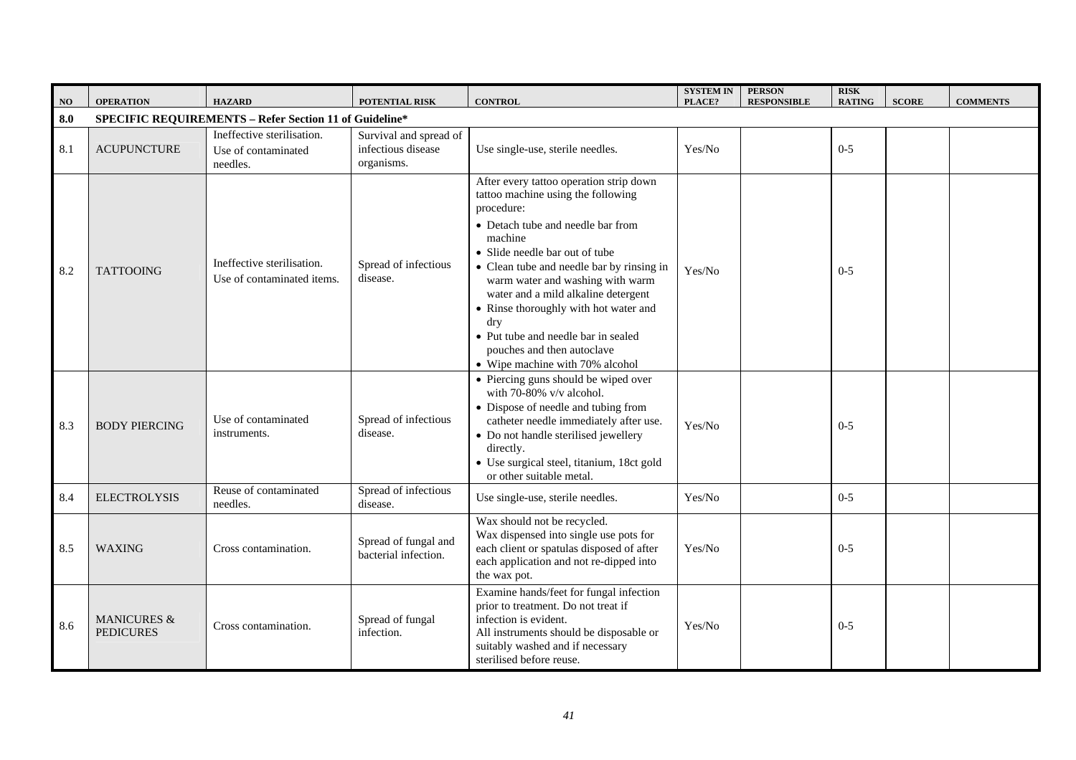| $\bf NO$ | <b>OPERATION</b>                                       | <b>HAZARD</b>                                                 | POTENTIAL RISK                                             | <b>CONTROL</b>                                                                                                                                                                                                                                                                                                                                                                                                                                                | <b>SYSTEM IN</b><br>PLACE? | <b>PERSON</b><br><b>RESPONSIBLE</b> | <b>RISK</b><br><b>RATING</b> | <b>SCORE</b> | <b>COMMENTS</b> |
|----------|--------------------------------------------------------|---------------------------------------------------------------|------------------------------------------------------------|---------------------------------------------------------------------------------------------------------------------------------------------------------------------------------------------------------------------------------------------------------------------------------------------------------------------------------------------------------------------------------------------------------------------------------------------------------------|----------------------------|-------------------------------------|------------------------------|--------------|-----------------|
| 8.0      | SPECIFIC REQUIREMENTS - Refer Section 11 of Guideline* |                                                               |                                                            |                                                                                                                                                                                                                                                                                                                                                                                                                                                               |                            |                                     |                              |              |                 |
| 8.1      | <b>ACUPUNCTURE</b>                                     | Ineffective sterilisation.<br>Use of contaminated<br>needles. | Survival and spread of<br>infectious disease<br>organisms. | Use single-use, sterile needles.                                                                                                                                                                                                                                                                                                                                                                                                                              | Yes/No                     |                                     | $0 - 5$                      |              |                 |
| 8.2      | <b>TATTOOING</b>                                       | Ineffective sterilisation.<br>Use of contaminated items.      | Spread of infectious<br>disease.                           | After every tattoo operation strip down<br>tattoo machine using the following<br>procedure:<br>• Detach tube and needle bar from<br>machine<br>• Slide needle bar out of tube<br>• Clean tube and needle bar by rinsing in<br>warm water and washing with warm<br>water and a mild alkaline detergent<br>• Rinse thoroughly with hot water and<br>dry<br>• Put tube and needle bar in sealed<br>pouches and then autoclave<br>• Wipe machine with 70% alcohol | Yes/No                     |                                     | $0 - 5$                      |              |                 |
| 8.3      | <b>BODY PIERCING</b>                                   | Use of contaminated<br>instruments.                           | Spread of infectious<br>disease.                           | • Piercing guns should be wiped over<br>with 70-80% v/v alcohol.<br>• Dispose of needle and tubing from<br>catheter needle immediately after use.<br>• Do not handle sterilised jewellery<br>directly.<br>• Use surgical steel, titanium, 18ct gold<br>or other suitable metal.                                                                                                                                                                               | Yes/No                     |                                     | $0 - 5$                      |              |                 |
| 8.4      | <b>ELECTROLYSIS</b>                                    | Reuse of contaminated<br>needles.                             | Spread of infectious<br>disease.                           | Use single-use, sterile needles.                                                                                                                                                                                                                                                                                                                                                                                                                              | Yes/No                     |                                     | $0 - 5$                      |              |                 |
| 8.5      | <b>WAXING</b>                                          | Cross contamination.                                          | Spread of fungal and<br>bacterial infection.               | Wax should not be recycled.<br>Wax dispensed into single use pots for<br>each client or spatulas disposed of after<br>each application and not re-dipped into<br>the wax pot.                                                                                                                                                                                                                                                                                 | Yes/No                     |                                     | $0 - 5$                      |              |                 |
| 8.6      | MANICURES &<br><b>PEDICURES</b>                        | Cross contamination.                                          | Spread of fungal<br>infection.                             | Examine hands/feet for fungal infection<br>prior to treatment. Do not treat if<br>infection is evident.<br>All instruments should be disposable or<br>suitably washed and if necessary<br>sterilised before reuse.                                                                                                                                                                                                                                            | Yes/No                     |                                     | $0 - 5$                      |              |                 |